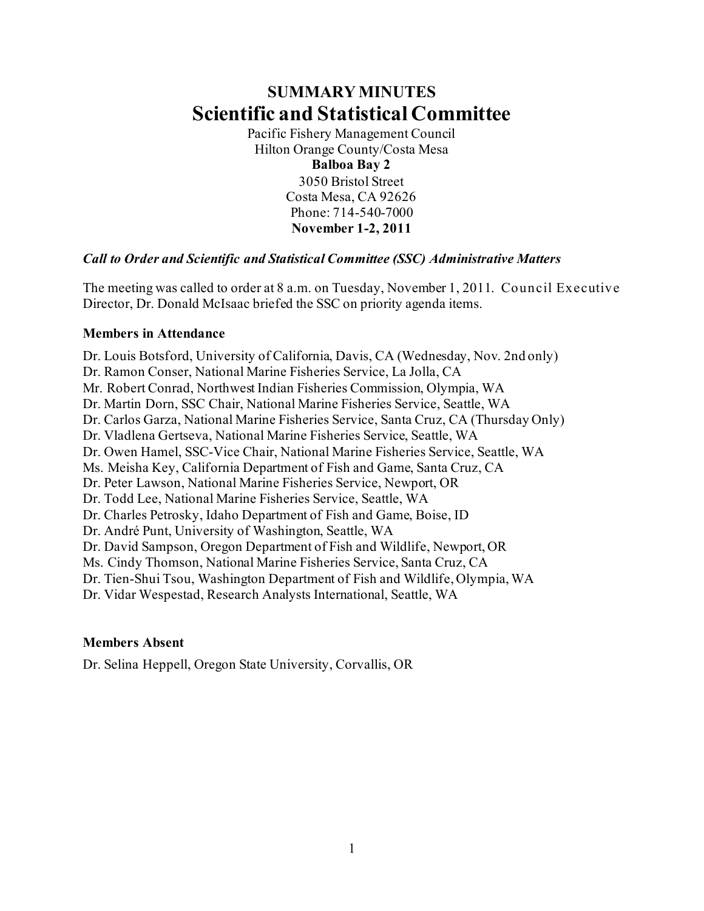# **SUMMARY MINUTES Scientific and Statistical Committee**

Pacific Fishery Management Council Hilton Orange County/Costa Mesa **Balboa Bay 2** 3050 Bristol Street Costa Mesa, CA 92626 Phone: 714-540-7000 **November 1-2, 2011**

# *Call to Order and Scientific and Statistical Committee (SSC) Administrative Matters*

The meeting was called to order at 8 a.m. on Tuesday, November 1, 2011. Council Executive Director, Dr. Donald McIsaac briefed the SSC on priority agenda items.

# **Members in Attendance**

Dr. Louis Botsford, University of California, Davis, CA (Wednesday, Nov. 2nd only) Dr. Ramon Conser, National Marine Fisheries Service, La Jolla, CA Mr. Robert Conrad, Northwest Indian Fisheries Commission, Olympia, WA Dr. Martin Dorn, SSC Chair, National Marine Fisheries Service, Seattle, WA Dr. Carlos Garza, National Marine Fisheries Service, Santa Cruz, CA (Thursday Only) Dr. Vladlena Gertseva, National Marine Fisheries Service, Seattle, WA Dr. Owen Hamel, SSC-Vice Chair, National Marine Fisheries Service, Seattle, WA Ms. Meisha Key, California Department of Fish and Game, Santa Cruz, CA Dr. Peter Lawson, National Marine Fisheries Service, Newport, OR Dr. Todd Lee, National Marine Fisheries Service, Seattle, WA Dr. Charles Petrosky, Idaho Department of Fish and Game, Boise, ID Dr. André Punt, University of Washington, Seattle, WA Dr. David Sampson, Oregon Department of Fish and Wildlife, Newport, OR Ms. Cindy Thomson, National Marine Fisheries Service, Santa Cruz, CA Dr. Tien-Shui Tsou, Washington Department of Fish and Wildlife, Olympia, WA Dr. Vidar Wespestad, Research Analysts International, Seattle, WA

# **Members Absent**

Dr. Selina Heppell, Oregon State University, Corvallis, OR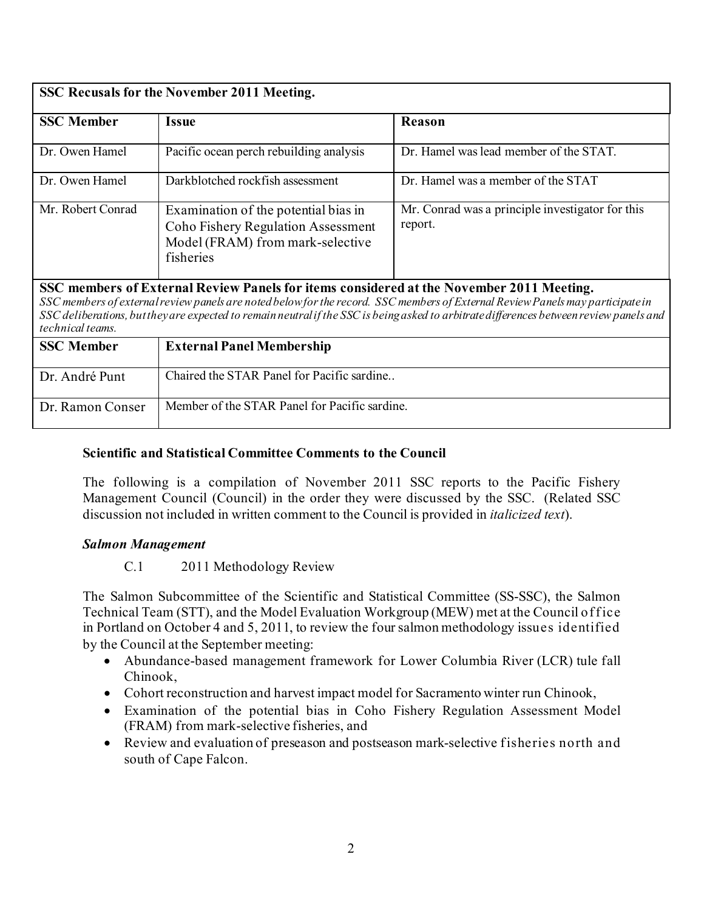| SSC Recusals for the November 2011 Meeting.                                                                                                                                                                                                                                                                                                                                                      |                                                                                                                                    |                                                             |  |  |  |  |  |
|--------------------------------------------------------------------------------------------------------------------------------------------------------------------------------------------------------------------------------------------------------------------------------------------------------------------------------------------------------------------------------------------------|------------------------------------------------------------------------------------------------------------------------------------|-------------------------------------------------------------|--|--|--|--|--|
| <b>SSC Member</b>                                                                                                                                                                                                                                                                                                                                                                                | <b>Issue</b>                                                                                                                       | Reason                                                      |  |  |  |  |  |
| Dr. Owen Hamel                                                                                                                                                                                                                                                                                                                                                                                   | Pacific ocean perch rebuilding analysis                                                                                            | Dr. Hamel was lead member of the STAT.                      |  |  |  |  |  |
| Dr. Owen Hamel                                                                                                                                                                                                                                                                                                                                                                                   | Darkblotched rockfish assessment                                                                                                   | Dr. Hamel was a member of the STAT                          |  |  |  |  |  |
| Mr. Robert Conrad                                                                                                                                                                                                                                                                                                                                                                                | Examination of the potential bias in<br><b>Coho Fishery Regulation Assessment</b><br>Model (FRAM) from mark-selective<br>fisheries | Mr. Conrad was a principle investigator for this<br>report. |  |  |  |  |  |
| SSC members of External Review Panels for items considered at the November 2011 Meeting.<br>SSC members of external review panels are noted below for the record. SSC members of External Review Panels may participate in<br>SSC deliberations, but they are expected to remain neutral if the SSC is being asked to arbitrate differences between review panels and<br><i>technical teams.</i> |                                                                                                                                    |                                                             |  |  |  |  |  |
| <b>SSC Member</b>                                                                                                                                                                                                                                                                                                                                                                                | <b>External Panel Membership</b>                                                                                                   |                                                             |  |  |  |  |  |
| Dr. André Punt                                                                                                                                                                                                                                                                                                                                                                                   | Chaired the STAR Panel for Pacific sardine                                                                                         |                                                             |  |  |  |  |  |
| Dr. Ramon Conser                                                                                                                                                                                                                                                                                                                                                                                 | Member of the STAR Panel for Pacific sardine.                                                                                      |                                                             |  |  |  |  |  |

# **Scientific and Statistical Committee Comments to the Council**

The following is a compilation of November 2011 SSC reports to the Pacific Fishery Management Council (Council) in the order they were discussed by the SSC. (Related SSC discussion not included in written comment to the Council is provided in *italicized text*).

# *Salmon Management*

C.1 2011 Methodology Review

The Salmon Subcommittee of the Scientific and Statistical Committee (SS-SSC), the Salmon Technical Team (STT), and the Model Evaluation Workgroup (MEW) met at the Council of fice in Portland on October 4 and 5, 2011, to review the four salmon methodology issues identified by the Council at the September meeting:

- Abundance-based management framework for Lower Columbia River (LCR) tule fall Chinook,
- Cohort reconstruction and harvest impact model for Sacramento winter run Chinook,
- Examination of the potential bias in Coho Fishery Regulation Assessment Model (FRAM) from mark-selective fisheries, and
- Review and evaluation of preseason and postseason mark-selective fisheries north and south of Cape Falcon.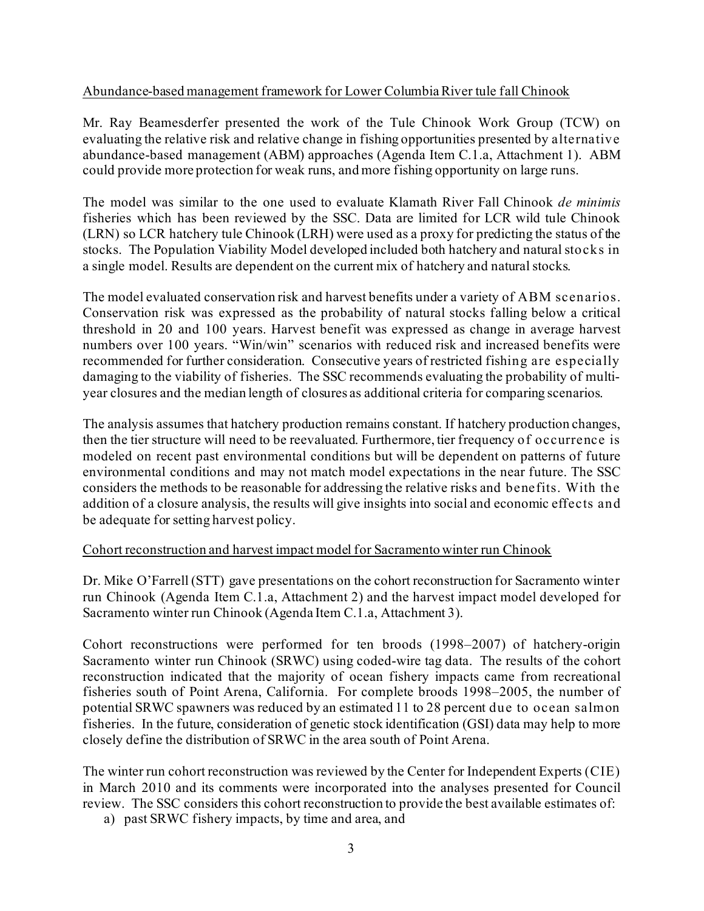#### Abundance-based management framework for Lower Columbia River tule fall Chinook

Mr. Ray Beamesderfer presented the work of the Tule Chinook Work Group (TCW) on evaluating the relative risk and relative change in fishing opportunities presented by alternative abundance-based management (ABM) approaches (Agenda Item C.1.a, Attachment 1). ABM could provide more protection for weak runs, and more fishing opportunity on large runs.

The model was similar to the one used to evaluate Klamath River Fall Chinook *de minimis* fisheries which has been reviewed by the SSC. Data are limited for LCR wild tule Chinook (LRN) so LCR hatchery tule Chinook (LRH) were used as a proxy for predicting the status of the stocks. The Population Viability Model developed included both hatchery and natural stocks in a single model. Results are dependent on the current mix of hatchery and natural stocks.

The model evaluated conservation risk and harvest benefits under a variety of ABM scenarios. Conservation risk was expressed as the probability of natural stocks falling below a critical threshold in 20 and 100 years. Harvest benefit was expressed as change in average harvest numbers over 100 years. "Win/win" scenarios with reduced risk and increased benefits were recommended for further consideration. Consecutive years of restricted fishing are especially damaging to the viability of fisheries. The SSC recommends evaluating the probability of multiyear closures and the median length of closures as additional criteria for comparing scenarios.

The analysis assumes that hatchery production remains constant. If hatchery production changes, then the tier structure will need to be reevaluated. Furthermore, tier frequency of occurrence is modeled on recent past environmental conditions but will be dependent on patterns of future environmental conditions and may not match model expectations in the near future. The SSC considers the methods to be reasonable for addressing the relative risks and benefits. With the addition of a closure analysis, the results will give insights into social and economic effects and be adequate for setting harvest policy.

# Cohort reconstruction and harvest impact model for Sacramento winter run Chinook

Dr. Mike O'Farrell (STT) gave presentations on the cohort reconstruction for Sacramento winter run Chinook (Agenda Item C.1.a, Attachment 2) and the harvest impact model developed for Sacramento winter run Chinook (Agenda Item C.1.a, Attachment 3).

Cohort reconstructions were performed for ten broods (1998–2007) of hatchery-origin Sacramento winter run Chinook (SRWC) using coded-wire tag data. The results of the cohort reconstruction indicated that the majority of ocean fishery impacts came from recreational fisheries south of Point Arena, California. For complete broods 1998–2005, the number of potential SRWC spawners was reduced by an estimated 11 to 28 percent due to ocean salmon fisheries. In the future, consideration of genetic stock identification (GSI) data may help to more closely define the distribution of SRWC in the area south of Point Arena.

The winter run cohort reconstruction was reviewed by the Center for Independent Experts (CIE) in March 2010 and its comments were incorporated into the analyses presented for Council review. The SSC considers this cohort reconstruction to provide the best available estimates of:

a) past SRWC fishery impacts, by time and area, and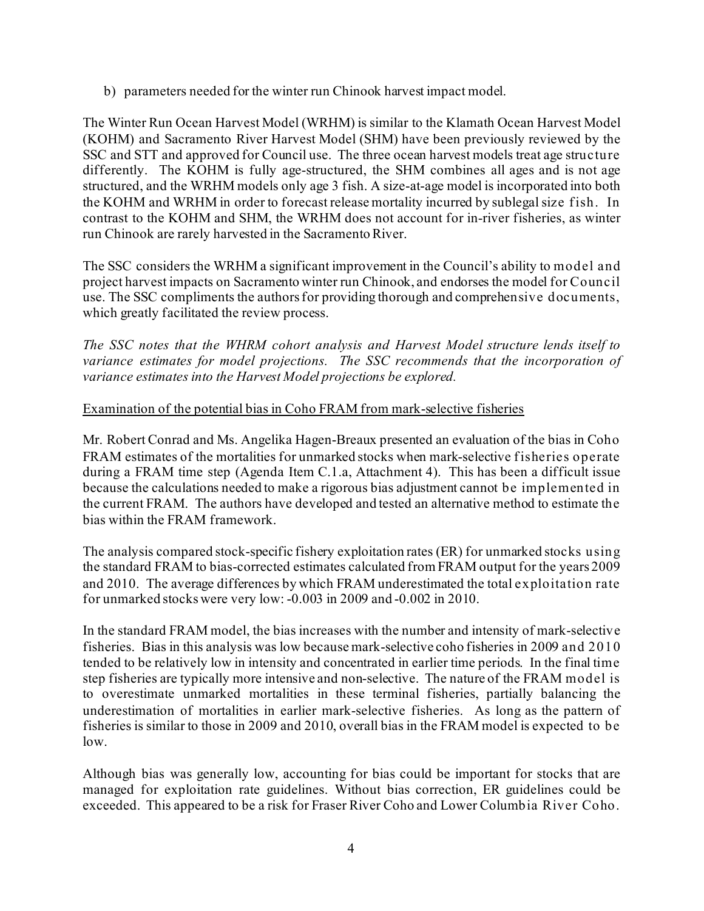b) parameters needed for the winter run Chinook harvest impact model.

The Winter Run Ocean Harvest Model (WRHM) is similar to the Klamath Ocean Harvest Model (KOHM) and Sacramento River Harvest Model (SHM) have been previously reviewed by the SSC and STT and approved for Council use. The three ocean harvest models treat age structure differently. The KOHM is fully age-structured, the SHM combines all ages and is not age structured, and the WRHM models only age 3 fish. A size-at-age model is incorporated into both the KOHM and WRHM in order to forecast release mortality incurred by sublegal size fish. In contrast to the KOHM and SHM, the WRHM does not account for in-river fisheries, as winter run Chinook are rarely harvested in the Sacramento River.

The SSC considers the WRHM a significant improvement in the Council's ability to model and project harvest impacts on Sacramento winter run Chinook, and endorses the model for Council use. The SSC compliments the authors for providing thorough and comprehensive documents, which greatly facilitated the review process.

*The SSC notes that the WHRM cohort analysis and Harvest Model structure lends itself to variance estimates for model projections. The SSC recommends that the incorporation of variance estimates into the Harvest Model projections be explored.*

#### Examination of the potential bias in Coho FRAM from mark-selective fisheries

Mr. Robert Conrad and Ms. Angelika Hagen-Breaux presented an evaluation of the bias in Coho FRAM estimates of the mortalities for unmarked stocks when mark-selective fisheries operate during a FRAM time step (Agenda Item C.1.a, Attachment 4). This has been a difficult issue because the calculations needed to make a rigorous bias adjustment cannot be implemented in the current FRAM. The authors have developed and tested an alternative method to estimate the bias within the FRAM framework.

The analysis compared stock-specific fishery exploitation rates (ER) for unmarked stocks using the standard FRAM to bias-corrected estimates calculated from FRAM output for the years 2009 and 2010. The average differences by which FRAM underestimated the total exploitation rate for unmarked stocks were very low: -0.003 in 2009 and -0.002 in 2010.

In the standard FRAM model, the bias increases with the number and intensity of mark-selective fisheries. Bias in this analysis was low because mark-selective coho fisheries in 2009 and 2010 tended to be relatively low in intensity and concentrated in earlier time periods. In the final time step fisheries are typically more intensive and non-selective. The nature of the FRAM model is to overestimate unmarked mortalities in these terminal fisheries, partially balancing the underestimation of mortalities in earlier mark-selective fisheries. As long as the pattern of fisheries is similar to those in 2009 and 2010, overall bias in the FRAM model is expected to be low.

Although bias was generally low, accounting for bias could be important for stocks that are managed for exploitation rate guidelines. Without bias correction, ER guidelines could be exceeded. This appeared to be a risk for Fraser River Coho and Lower Columbia River Coho.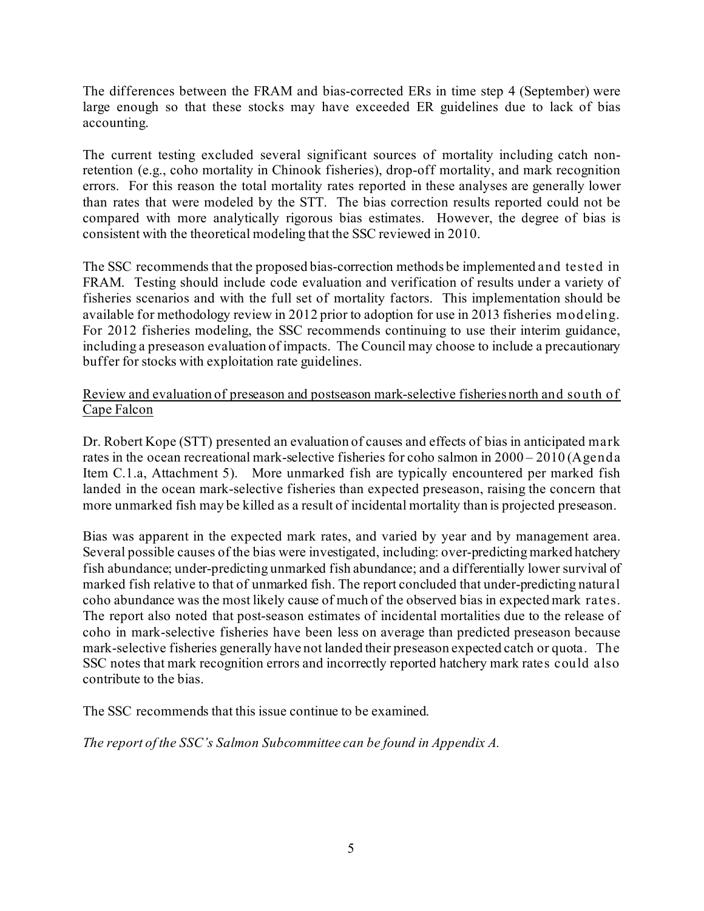The differences between the FRAM and bias-corrected ERs in time step 4 (September) were large enough so that these stocks may have exceeded ER guidelines due to lack of bias accounting.

The current testing excluded several significant sources of mortality including catch nonretention (e.g., coho mortality in Chinook fisheries), drop-off mortality, and mark recognition errors. For this reason the total mortality rates reported in these analyses are generally lower than rates that were modeled by the STT. The bias correction results reported could not be compared with more analytically rigorous bias estimates. However, the degree of bias is consistent with the theoretical modeling that the SSC reviewed in 2010.

The SSC recommends that the proposed bias-correction methods be implemented and tested in FRAM. Testing should include code evaluation and verification of results under a variety of fisheries scenarios and with the full set of mortality factors. This implementation should be available for methodology review in 2012 prior to adoption for use in 2013 fisheries modeling. For 2012 fisheries modeling, the SSC recommends continuing to use their interim guidance, including a preseason evaluation of impacts. The Council may choose to include a precautionary buffer for stocks with exploitation rate guidelines.

#### Review and evaluation of preseason and postseason mark-selective fisheries north and south of Cape Falcon

Dr. Robert Kope (STT) presented an evaluation of causes and effects of bias in anticipated mark rates in the ocean recreational mark-selective fisheries for coho salmon in 2000 – 2010 (Agenda Item C.1.a, Attachment 5). More unmarked fish are typically encountered per marked fish landed in the ocean mark-selective fisheries than expected preseason, raising the concern that more unmarked fish may be killed as a result of incidental mortality than is projected preseason.

Bias was apparent in the expected mark rates, and varied by year and by management area. Several possible causes of the bias were investigated, including: over-predicting marked hatchery fish abundance; under-predicting unmarked fish abundance; and a differentially lower survival of marked fish relative to that of unmarked fish. The report concluded that under-predicting natural coho abundance was the most likely cause of much of the observed bias in expected mark rates. The report also noted that post-season estimates of incidental mortalities due to the release of coho in mark-selective fisheries have been less on average than predicted preseason because mark-selective fisheries generally have not landed their preseason expected catch or quota. The SSC notes that mark recognition errors and incorrectly reported hatchery mark rates could also contribute to the bias.

The SSC recommends that this issue continue to be examined.

*The report of the SSC's Salmon Subcommittee can be found in Appendix A.*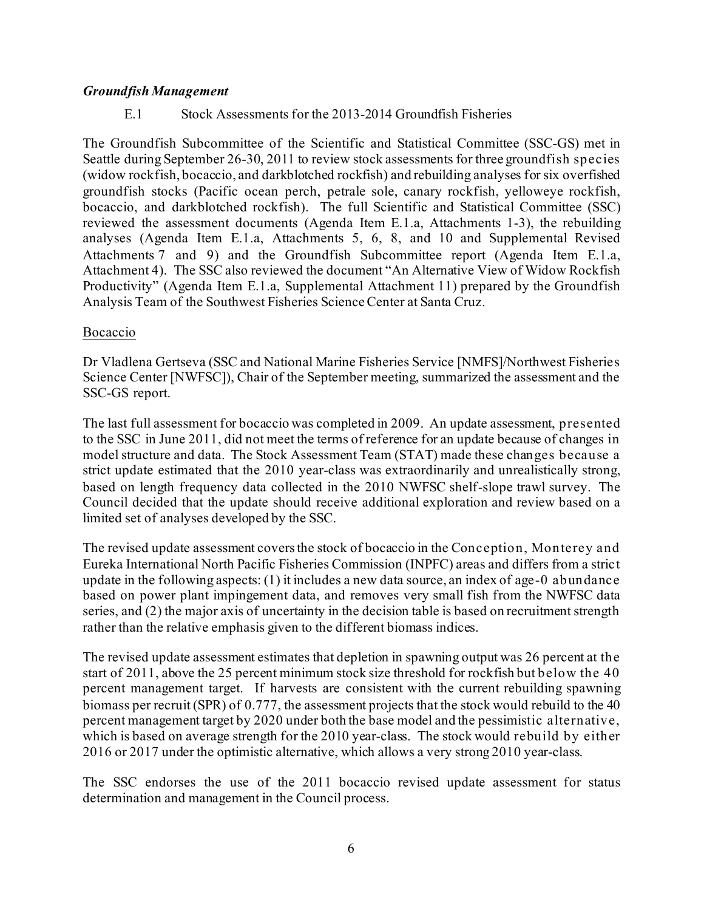#### *Groundfish Management*

E.1 Stock Assessments for the 2013-2014 Groundfish Fisheries

The Groundfish Subcommittee of the Scientific and Statistical Committee (SSC-GS) met in Seattle during September 26-30, 2011 to review stock assessments for three groundfish species (widow rockfish, bocaccio, and darkblotched rockfish) and rebuilding analyses for six overfished groundfish stocks (Pacific ocean perch, petrale sole, canary rockfish, yelloweye rockfish, bocaccio, and darkblotched rockfish). The full Scientific and Statistical Committee (SSC) reviewed the assessment documents (Agenda Item E.1.a, Attachments 1-3), the rebuilding analyses (Agenda Item E.1.a, Attachments 5, 6, 8, and 10 and Supplemental Revised Attachments 7 and 9) and the Groundfish Subcommittee report (Agenda Item E.1.a, Attachment 4). The SSC also reviewed the document "An Alternative View of Widow Rockfish Productivity" (Agenda Item E.1.a, Supplemental Attachment 11) prepared by the Groundfish Analysis Team of the Southwest Fisheries Science Center at Santa Cruz.

#### Bocaccio

Dr Vladlena Gertseva (SSC and National Marine Fisheries Service [NMFS]/Northwest Fisheries Science Center [NWFSC]), Chair of the September meeting, summarized the assessment and the SSC-GS report.

The last full assessment for bocaccio was completed in 2009. An update assessment, presented to the SSC in June 2011, did not meet the terms of reference for an update because of changes in model structure and data. The Stock Assessment Team (STAT) made these changes because a strict update estimated that the 2010 year-class was extraordinarily and unrealistically strong, based on length frequency data collected in the 2010 NWFSC shelf-slope trawl survey. The Council decided that the update should receive additional exploration and review based on a limited set of analyses developed by the SSC.

The revised update assessment covers the stock of bocaccio in the Conception, Monterey and Eureka International North Pacific Fisheries Commission (INPFC) areas and differs from a strict update in the following aspects: (1) it includes a new data source, an index of age-0 abundance based on power plant impingement data, and removes very small fish from the NWFSC data series, and (2) the major axis of uncertainty in the decision table is based on recruitment strength rather than the relative emphasis given to the different biomass indices.

The revised update assessment estimates that depletion in spawning output was 26 percent at the start of 2011, above the 25 percent minimum stock size threshold for rockfish but below the 40 percent management target. If harvests are consistent with the current rebuilding spawning biomass per recruit (SPR) of 0.777, the assessment projects that the stock would rebuild to the 40 percent management target by 2020 under both the base model and the pessimistic alternative, which is based on average strength for the 2010 year-class. The stock would rebuild by either 2016 or 2017 under the optimistic alternative, which allows a very strong 2010 year-class.

The SSC endorses the use of the 2011 bocaccio revised update assessment for status determination and management in the Council process.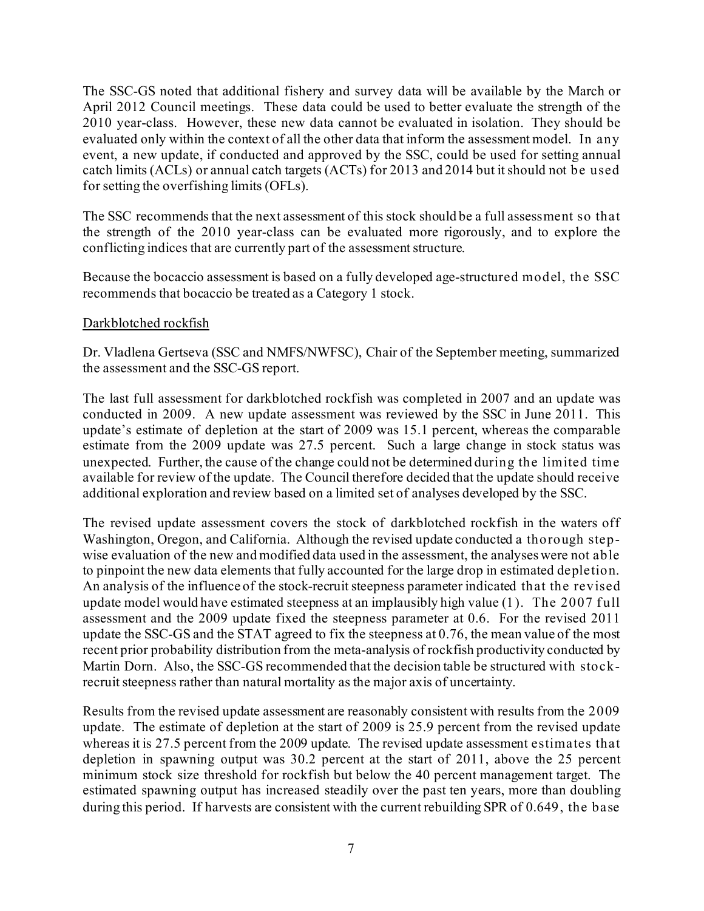The SSC-GS noted that additional fishery and survey data will be available by the March or April 2012 Council meetings. These data could be used to better evaluate the strength of the 2010 year-class. However, these new data cannot be evaluated in isolation. They should be evaluated only within the context of all the other data that inform the assessment model. In any event, a new update, if conducted and approved by the SSC, could be used for setting annual catch limits (ACLs) or annual catch targets (ACTs) for 2013 and 2014 but it should not be used for setting the overfishing limits (OFLs).

The SSC recommends that the next assessment of this stock should be a full assessment so that the strength of the 2010 year-class can be evaluated more rigorously, and to explore the conflicting indices that are currently part of the assessment structure.

Because the bocaccio assessment is based on a fully developed age-structured model, the SSC recommends that bocaccio be treated as a Category 1 stock.

#### Darkblotched rockfish

Dr. Vladlena Gertseva (SSC and NMFS/NWFSC), Chair of the September meeting, summarized the assessment and the SSC-GS report.

The last full assessment for darkblotched rockfish was completed in 2007 and an update was conducted in 2009. A new update assessment was reviewed by the SSC in June 2011. This update's estimate of depletion at the start of 2009 was 15.1 percent, whereas the comparable estimate from the 2009 update was 27.5 percent. Such a large change in stock status was unexpected. Further, the cause of the change could not be determined during the limited time available for review of the update. The Council therefore decided that the update should receive additional exploration and review based on a limited set of analyses developed by the SSC.

The revised update assessment covers the stock of darkblotched rockfish in the waters off Washington, Oregon, and California. Although the revised update conducted a thorough stepwise evaluation of the new and modified data used in the assessment, the analyses were not able to pinpoint the new data elements that fully accounted for the large drop in estimated depletion. An analysis of the influence of the stock-recruit steepness parameter indicated that the revised update model would have estimated steepness at an implausibly high value  $(1)$ . The 2007 full assessment and the 2009 update fixed the steepness parameter at 0.6. For the revised 2011 update the SSC-GS and the STAT agreed to fix the steepness at 0.76, the mean value of the most recent prior probability distribution from the meta-analysis of rockfish productivity conducted by Martin Dorn. Also, the SSC-GS recommended that the decision table be structured with stockrecruit steepness rather than natural mortality as the major axis of uncertainty.

Results from the revised update assessment are reasonably consistent with results from the 2009 update. The estimate of depletion at the start of 2009 is 25.9 percent from the revised update whereas it is 27.5 percent from the 2009 update. The revised update assessment estimates that depletion in spawning output was 30.2 percent at the start of 2011, above the 25 percent minimum stock size threshold for rockfish but below the 40 percent management target. The estimated spawning output has increased steadily over the past ten years, more than doubling during this period. If harvests are consistent with the current rebuilding SPR of 0.649, the base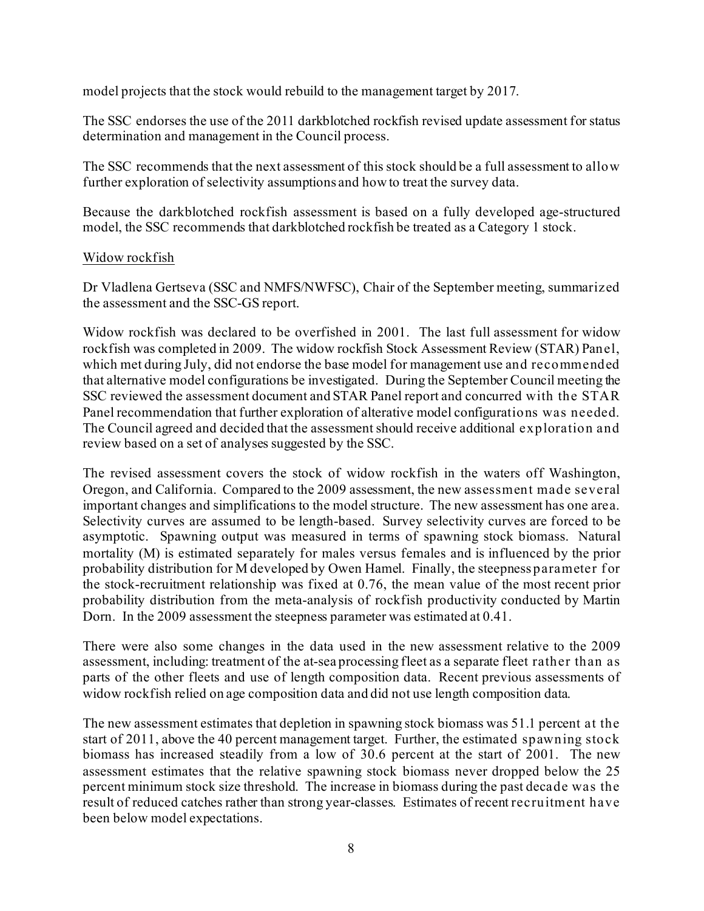model projects that the stock would rebuild to the management target by 2017.

The SSC endorses the use of the 2011 darkblotched rockfish revised update assessment for status determination and management in the Council process.

The SSC recommends that the next assessment of this stock should be a full assessment to allow further exploration of selectivity assumptions and how to treat the survey data.

Because the darkblotched rockfish assessment is based on a fully developed age-structured model, the SSC recommends that darkblotched rockfish be treated as a Category 1 stock.

#### Widow rockfish

Dr Vladlena Gertseva (SSC and NMFS/NWFSC), Chair of the September meeting, summarized the assessment and the SSC-GS report.

Widow rockfish was declared to be overfished in 2001. The last full assessment for widow rockfish was completed in 2009. The widow rockfish Stock Assessment Review (STAR) Panel, which met during July, did not endorse the base model for management use and recommended that alternative model configurations be investigated. During the September Council meeting the SSC reviewed the assessment document and STAR Panel report and concurred with the STAR Panel recommendation that further exploration of alterative model configurations was needed. The Council agreed and decided that the assessment should receive additional exploration and review based on a set of analyses suggested by the SSC.

The revised assessment covers the stock of widow rockfish in the waters off Washington, Oregon, and California. Compared to the 2009 assessment, the new assessment made several important changes and simplifications to the model structure. The new assessment has one area. Selectivity curves are assumed to be length-based. Survey selectivity curves are forced to be asymptotic. Spawning output was measured in terms of spawning stock biomass. Natural mortality (M) is estimated separately for males versus females and is influenced by the prior probability distribution for M developed by Owen Hamel. Finally, the steepness parameter for the stock-recruitment relationship was fixed at 0.76, the mean value of the most recent prior probability distribution from the meta-analysis of rockfish productivity conducted by Martin Dorn. In the 2009 assessment the steepness parameter was estimated at 0.41.

There were also some changes in the data used in the new assessment relative to the 2009 assessment, including: treatment of the at-sea processing fleet as a separate fleet rather than as parts of the other fleets and use of length composition data. Recent previous assessments of widow rockfish relied on age composition data and did not use length composition data.

The new assessment estimates that depletion in spawning stock biomass was 51.1 percent at the start of 2011, above the 40 percent management target. Further, the estimated spawning stock biomass has increased steadily from a low of 30.6 percent at the start of 2001. The new assessment estimates that the relative spawning stock biomass never dropped below the 25 percent minimum stock size threshold. The increase in biomass during the past decade was the result of reduced catches rather than strong year-classes. Estimates of recent recruitment have been below model expectations.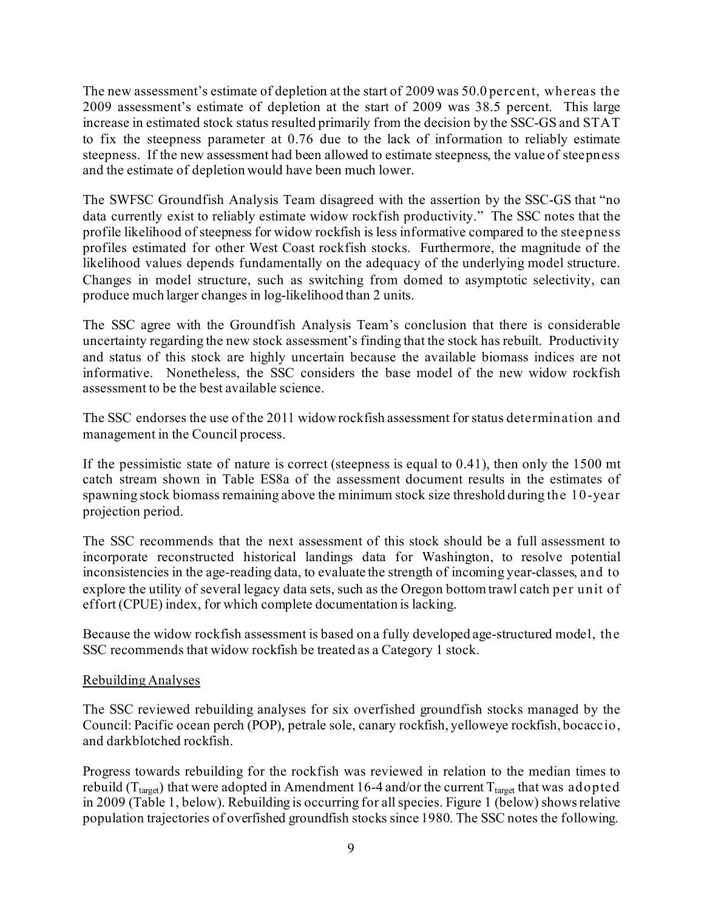The new assessment's estimate of depletion at the start of 2009 was 50.0 percent, whereas the 2009 assessment's estimate of depletion at the start of 2009 was 38.5 percent. This large increase in estimated stock status resulted primarily from the decision by the SSC-GS and STAT to fix the steepness parameter at 0.76 due to the lack of information to reliably estimate steepness. If the new assessment had been allowed to estimate steepness, the value of steepness and the estimate of depletion would have been much lower.

The SWFSC Groundfish Analysis Team disagreed with the assertion by the SSC-GS that "no data currently exist to reliably estimate widow rockfish productivity." The SSC notes that the profile likelihood of steepness for widow rockfish is less informative compared to the steepness profiles estimated for other West Coast rockfish stocks. Furthermore, the magnitude of the likelihood values depends fundamentally on the adequacy of the underlying model structure. Changes in model structure, such as switching from domed to asymptotic selectivity, can produce much larger changes in log-likelihood than 2 units.

The SSC agree with the Groundfish Analysis Team's conclusion that there is considerable uncertainty regarding the new stock assessment's finding that the stock has rebuilt. Productivity and status of this stock are highly uncertain because the available biomass indices are not informative. Nonetheless, the SSC considers the base model of the new widow rockfish assessment to be the best available science.

The SSC endorses the use of the 2011 widow rockfish assessment for status determination and management in the Council process.

If the pessimistic state of nature is correct (steepness is equal to 0.41), then only the 1500 mt catch stream shown in Table ES8a of the assessment document results in the estimates of spawning stock biomass remaining above the minimum stock size threshold during the 10-year projection period.

The SSC recommends that the next assessment of this stock should be a full assessment to incorporate reconstructed historical landings data for Washington, to resolve potential inconsistencies in the age-reading data, to evaluate the strength of incoming year-classes, and to explore the utility of several legacy data sets, such as the Oregon bottom trawl catch per unit of effort (CPUE) index, for which complete documentation is lacking.

Because the widow rockfish assessment is based on a fully developed age-structured model, the SSC recommends that widow rockfish be treated as a Category 1 stock.

# Rebuilding Analyses

The SSC reviewed rebuilding analyses for six overfished groundfish stocks managed by the Council: Pacific ocean perch (POP), petrale sole, canary rockfish, yelloweye rockfish, bocaccio, and darkblotched rockfish.

Progress towards rebuilding for the rockfish was reviewed in relation to the median times to rebuild ( $T_{\text{target}}$ ) that were adopted in Amendment 16-4 and/or the current  $T_{\text{target}}$  that was adopted in 2009 (Table 1, below). Rebuilding is occurring for all species. Figure 1 (below) shows relative population trajectories of overfished groundfish stocks since 1980. The SSC notes the following.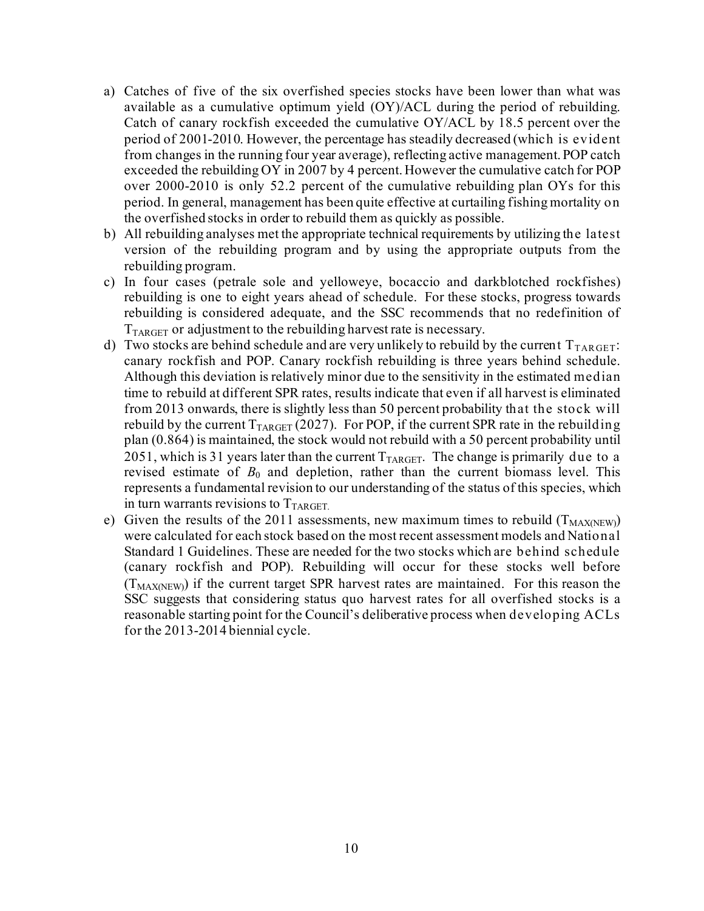- a) Catches of five of the six overfished species stocks have been lower than what was available as a cumulative optimum yield (OY)/ACL during the period of rebuilding. Catch of canary rockfish exceeded the cumulative OY/ACL by 18.5 percent over the period of 2001-2010. However, the percentage has steadily decreased (which is evident from changes in the running four year average), reflecting active management. POP catch exceeded the rebuilding OY in 2007 by 4 percent. However the cumulative catch for POP over 2000-2010 is only 52.2 percent of the cumulative rebuilding plan OYs for this period. In general, management has been quite effective at curtailing fishing mortality on the overfished stocks in order to rebuild them as quickly as possible.
- b) All rebuilding analyses met the appropriate technical requirements by utilizing the latest version of the rebuilding program and by using the appropriate outputs from the rebuilding program.
- c) In four cases (petrale sole and yelloweye, bocaccio and darkblotched rockfishes) rebuilding is one to eight years ahead of schedule. For these stocks, progress towards rebuilding is considered adequate, and the SSC recommends that no redefinition of  $T_{\text{TARGET}}$  or adjustment to the rebuilding harvest rate is necessary.
- d) Two stocks are behind schedule and are very unlikely to rebuild by the current  $T_{TARGET}$ : canary rockfish and POP. Canary rockfish rebuilding is three years behind schedule. Although this deviation is relatively minor due to the sensitivity in the estimated median time to rebuild at different SPR rates, results indicate that even if all harvest is eliminated from 2013 onwards, there is slightly less than 50 percent probability that the stock will rebuild by the current  $T_{TARGE}(2027)$ . For POP, if the current SPR rate in the rebuilding plan (0.864) is maintained, the stock would not rebuild with a 50 percent probability until 2051, which is 31 years later than the current  $T_{TARGE}$ . The change is primarily due to a revised estimate of  $B_0$  and depletion, rather than the current biomass level. This represents a fundamental revision to our understanding of the status of this species, which in turn warrants revisions to  $T_{\text{TARGET}}$ .
- e) Given the results of the 2011 assessments, new maximum times to rebuild  $(T_{MAX(NEW)})$ were calculated for each stock based on the most recent assessment models and National Standard 1 Guidelines. These are needed for the two stocks which are behind schedule (canary rockfish and POP). Rebuilding will occur for these stocks well before  $(T_{MAX(NEW)})$  if the current target SPR harvest rates are maintained. For this reason the SSC suggests that considering status quo harvest rates for all overfished stocks is a reasonable starting point for the Council's deliberative process when developing ACLs for the 2013-2014 biennial cycle.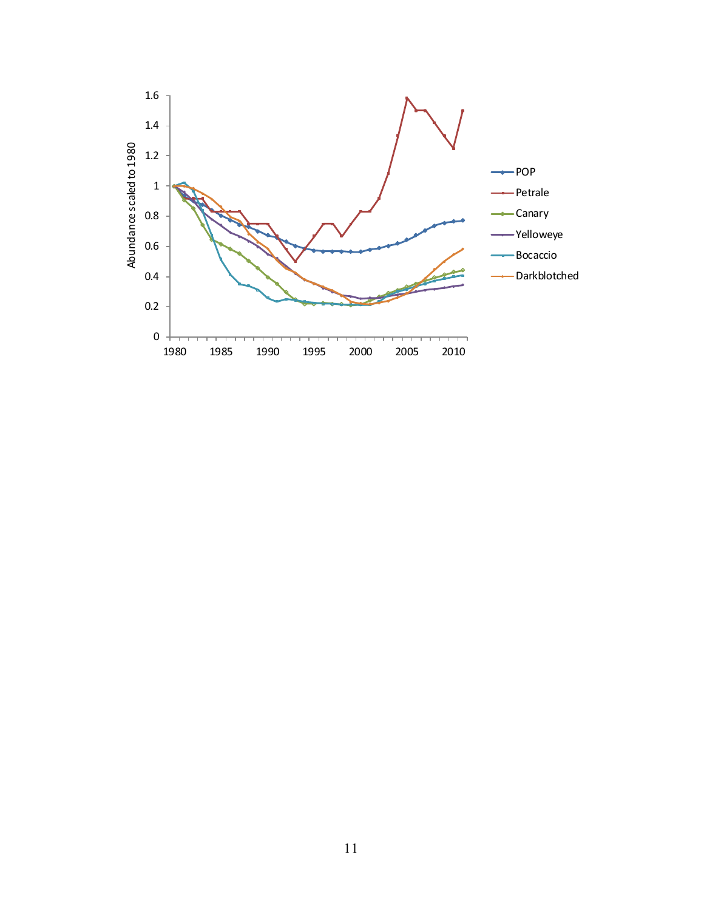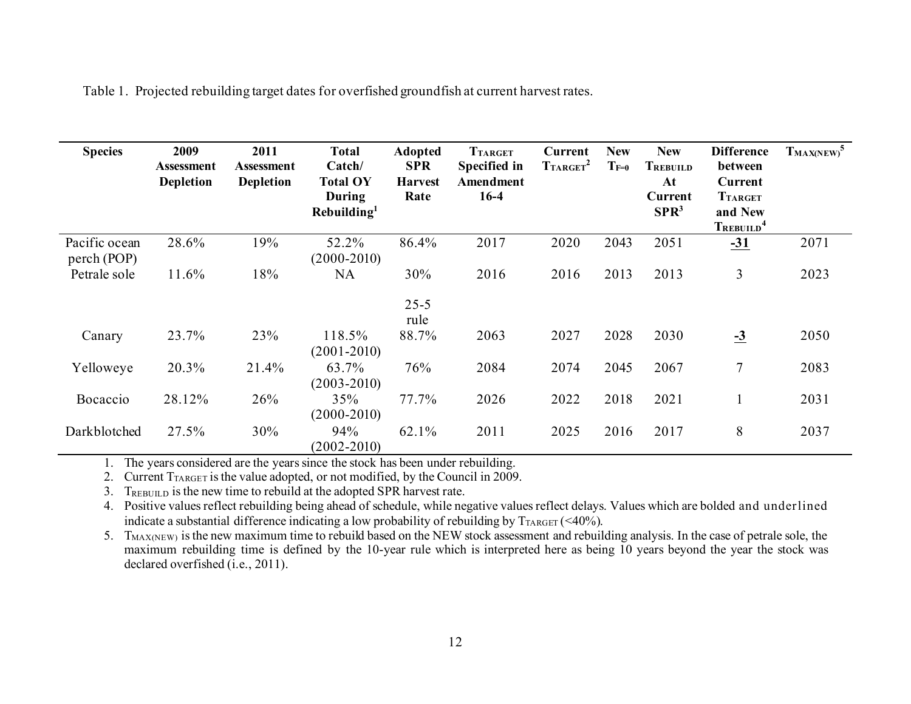| <b>Species</b>               | 2009<br><b>Assessment</b><br><b>Depletion</b> | 2011<br>Assessment<br><b>Depletion</b> | <b>Total</b><br>Catch/<br><b>Total OY</b><br>During<br>Rebuilding <sup>1</sup> | <b>Adopted</b><br><b>SPR</b><br><b>Harvest</b><br>Rate | <b>TTARGET</b><br>Specified in<br>Amendment<br>$16-4$ | Current<br>TTARGET <sup>2</sup> | <b>New</b><br>$T_{F=0}$ | <b>New</b><br>TREBUILD<br>At<br>Current<br>SPR <sup>3</sup> | <b>Difference</b><br>between<br>Current<br><b>TTARGET</b><br>and New<br>TREBUILD <sup>4</sup> | TMAX(NEW) <sup>5</sup> |
|------------------------------|-----------------------------------------------|----------------------------------------|--------------------------------------------------------------------------------|--------------------------------------------------------|-------------------------------------------------------|---------------------------------|-------------------------|-------------------------------------------------------------|-----------------------------------------------------------------------------------------------|------------------------|
| Pacific ocean<br>perch (POP) | 28.6%                                         | 19%                                    | 52.2%<br>$(2000 - 2010)$                                                       | 86.4%                                                  | 2017                                                  | 2020                            | 2043                    | 2051                                                        | $-31$                                                                                         | 2071                   |
| Petrale sole                 | 11.6%                                         | 18%                                    | <b>NA</b>                                                                      | 30%                                                    | 2016                                                  | 2016                            | 2013                    | 2013                                                        | 3                                                                                             | 2023                   |
|                              |                                               |                                        |                                                                                | $25 - 5$<br>rule                                       |                                                       |                                 |                         |                                                             |                                                                                               |                        |
| Canary                       | 23.7%                                         | 23%                                    | 118.5%<br>$(2001 - 2010)$                                                      | 88.7%                                                  | 2063                                                  | 2027                            | 2028                    | 2030                                                        | $\frac{-3}{2}$                                                                                | 2050                   |
| Yelloweye                    | 20.3%                                         | 21.4%                                  | 63.7%<br>$(2003 - 2010)$                                                       | 76%                                                    | 2084                                                  | 2074                            | 2045                    | 2067                                                        | 7                                                                                             | 2083                   |
| Bocaccio                     | 28.12%                                        | 26%                                    | 35%<br>$(2000 - 2010)$                                                         | 77.7%                                                  | 2026                                                  | 2022                            | 2018                    | 2021                                                        |                                                                                               | 2031                   |
| Darkblotched                 | 27.5%                                         | 30%                                    | 94%<br>$(2002 - 2010)$                                                         | 62.1%                                                  | 2011                                                  | 2025                            | 2016                    | 2017                                                        | 8                                                                                             | 2037                   |

Table 1. Projected rebuilding target dates for overfished groundfish at current harvest rates.

1. The years considered are the years since the stock has been under rebuilding.

2. Current  $T_{\text{TARGE}}$  is the value adopted, or not modified, by the Council in 2009.

3. TREBUILD is the new time to rebuild at the adopted SPR harvest rate.

4. Positive values reflect rebuilding being ahead of schedule, while negative values reflect delays. Values which are bolded and underlined indicate a substantial difference indicating a low probability of rebuilding by  $T_{\text{TARGE}}$  (<40%).

5. TMAX(NEW)is the new maximum time to rebuild based on the NEW stock assessment and rebuilding analysis. In the case of petrale sole, the maximum rebuilding time is defined by the 10-year rule which is interpreted here as being 10 years beyond the year the stock was declared overfished (i.e., 2011).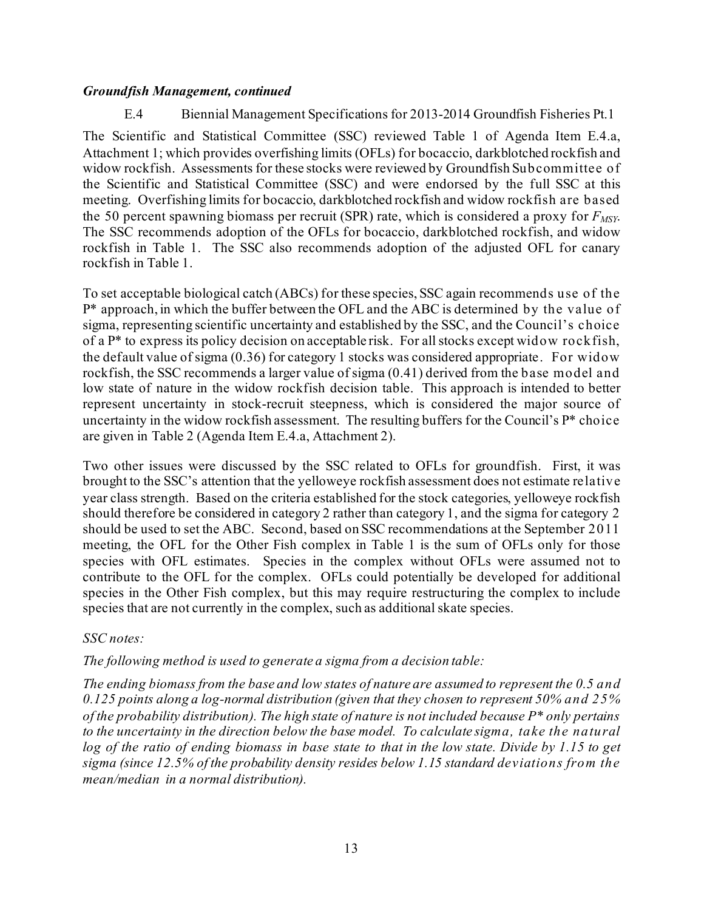#### *Groundfish Management, continued*

E.4 Biennial Management Specifications for 2013-2014 Groundfish Fisheries Pt.1

The Scientific and Statistical Committee (SSC) reviewed Table 1 of Agenda Item E.4.a, Attachment 1; which provides overfishing limits (OFLs) for bocaccio, darkblotched rockfish and widow rockfish. Assessments for these stocks were reviewed by Groundfish Subcommittee of the Scientific and Statistical Committee (SSC) and were endorsed by the full SSC at this meeting. Overfishing limits for bocaccio, darkblotched rockfish and widow rockfish are based the 50 percent spawning biomass per recruit (SPR) rate, which is considered a proxy for  $F_{MST}$ . The SSC recommends adoption of the OFLs for bocaccio, darkblotched rockfish, and widow rockfish in Table 1. The SSC also recommends adoption of the adjusted OFL for canary rockfish in Table 1.

To set acceptable biological catch (ABCs) for these species, SSC again recommends use of the P\* approach, in which the buffer between the OFL and the ABC is determined by the value of sigma, representing scientific uncertainty and established by the SSC, and the Council's choice of a P\* to express its policy decision on acceptable risk. For all stocks except widow rockfish, the default value of sigma (0.36) for category 1 stocks was considered appropriate. For widow rockfish, the SSC recommends a larger value of sigma (0.41) derived from the base model and low state of nature in the widow rockfish decision table. This approach is intended to better represent uncertainty in stock-recruit steepness, which is considered the major source of uncertainty in the widow rockfish assessment. The resulting buffers for the Council's P\* choice are given in Table 2 (Agenda Item E.4.a, Attachment 2).

Two other issues were discussed by the SSC related to OFLs for groundfish. First, it was brought to the SSC's attention that the yelloweye rockfish assessment does not estimate relative year class strength. Based on the criteria established for the stock categories, yelloweye rockfish should therefore be considered in category 2 rather than category 1, and the sigma for category 2 should be used to set the ABC. Second, based on SSC recommendations at the September 2011 meeting, the OFL for the Other Fish complex in Table 1 is the sum of OFLs only for those species with OFL estimates. Species in the complex without OFLs were assumed not to contribute to the OFL for the complex. OFLs could potentially be developed for additional species in the Other Fish complex, but this may require restructuring the complex to include species that are not currently in the complex, such as additional skate species.

# *SSC notes:*

# *The following method is used to generate a sigma from a decision table:*

*The ending biomass from the base and low states of nature are assumed to represent the 0.5 and 0.125 points along a log-normal distribution (given that they chosen to represent 50% and 25% of the probability distribution). The high state of nature is not included because P\* only pertains to the uncertainty in the direction below the base model. To calculate sigma, take the natural*  log of the ratio of ending biomass in base state to that in the low state. Divide by 1.15 to get *sigma (since 12.5% of the probability density resides below 1.15 standard deviations from the mean/median in a normal distribution).*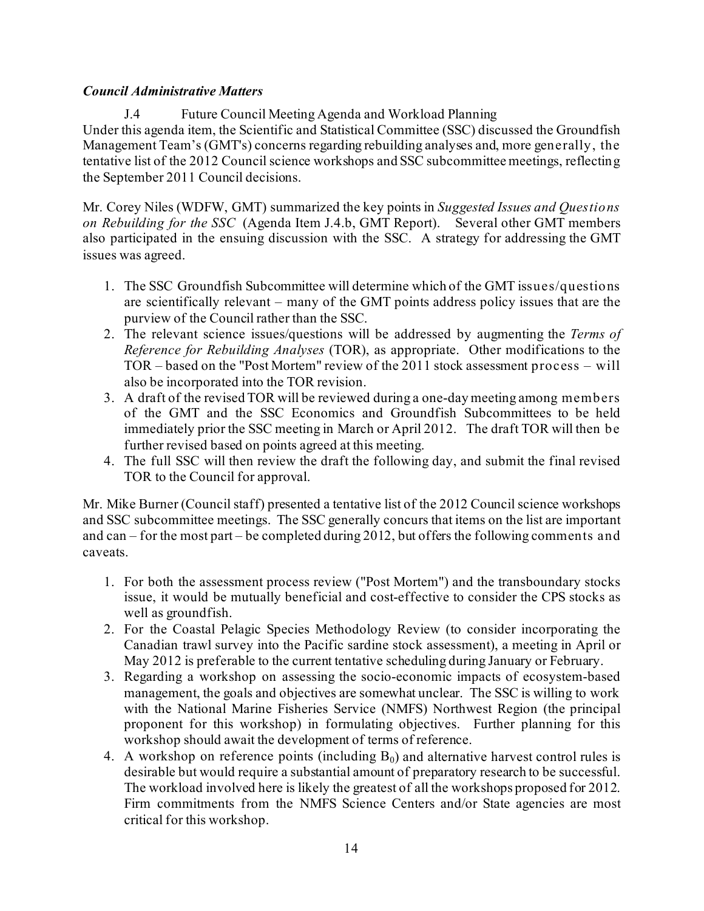#### *Council Administrative Matters*

J.4 Future Council Meeting Agenda and Workload Planning Under this agenda item, the Scientific and Statistical Committee (SSC) discussed the Groundfish Management Team's (GMT's) concerns regarding rebuilding analyses and, more generally, the tentative list of the 2012 Council science workshops and SSC subcommittee meetings, reflecting the September 2011 Council decisions.

Mr. Corey Niles (WDFW, GMT) summarized the key points in *Suggested Issues and Questions on Rebuilding for the SSC* (Agenda Item J.4.b, GMT Report). Several other GMT members also participated in the ensuing discussion with the SSC. A strategy for addressing the GMT issues was agreed.

- 1. The SSC Groundfish Subcommittee will determine which of the GMT issues/questions are scientifically relevant – many of the GMT points address policy issues that are the purview of the Council rather than the SSC.
- 2. The relevant science issues/questions will be addressed by augmenting the *Terms of Reference for Rebuilding Analyses* (TOR), as appropriate. Other modifications to the TOR – based on the "Post Mortem" review of the 2011 stock assessment process – will also be incorporated into the TOR revision.
- 3. A draft of the revised TOR will be reviewed during a one-day meeting among members of the GMT and the SSC Economics and Groundfish Subcommittees to be held immediately prior the SSC meeting in March or April 2012. The draft TOR will then be further revised based on points agreed at this meeting.
- 4. The full SSC will then review the draft the following day, and submit the final revised TOR to the Council for approval.

Mr. Mike Burner (Council staff) presented a tentative list of the 2012 Council science workshops and SSC subcommittee meetings. The SSC generally concurs that items on the list are important and can – for the most part – be completed during 2012, but offers the following comments and caveats.

- 1. For both the assessment process review ("Post Mortem") and the transboundary stocks issue, it would be mutually beneficial and cost-effective to consider the CPS stocks as well as groundfish.
- 2. For the Coastal Pelagic Species Methodology Review (to consider incorporating the Canadian trawl survey into the Pacific sardine stock assessment), a meeting in April or May 2012 is preferable to the current tentative scheduling during January or February.
- 3. Regarding a workshop on assessing the socio-economic impacts of ecosystem-based management, the goals and objectives are somewhat unclear. The SSC is willing to work with the National Marine Fisheries Service (NMFS) Northwest Region (the principal proponent for this workshop) in formulating objectives. Further planning for this workshop should await the development of terms of reference.
- 4. A workshop on reference points (including  $B_0$ ) and alternative harvest control rules is desirable but would require a substantial amount of preparatory research to be successful. The workload involved here is likely the greatest of all the workshops proposed for 2012. Firm commitments from the NMFS Science Centers and/or State agencies are most critical for this workshop.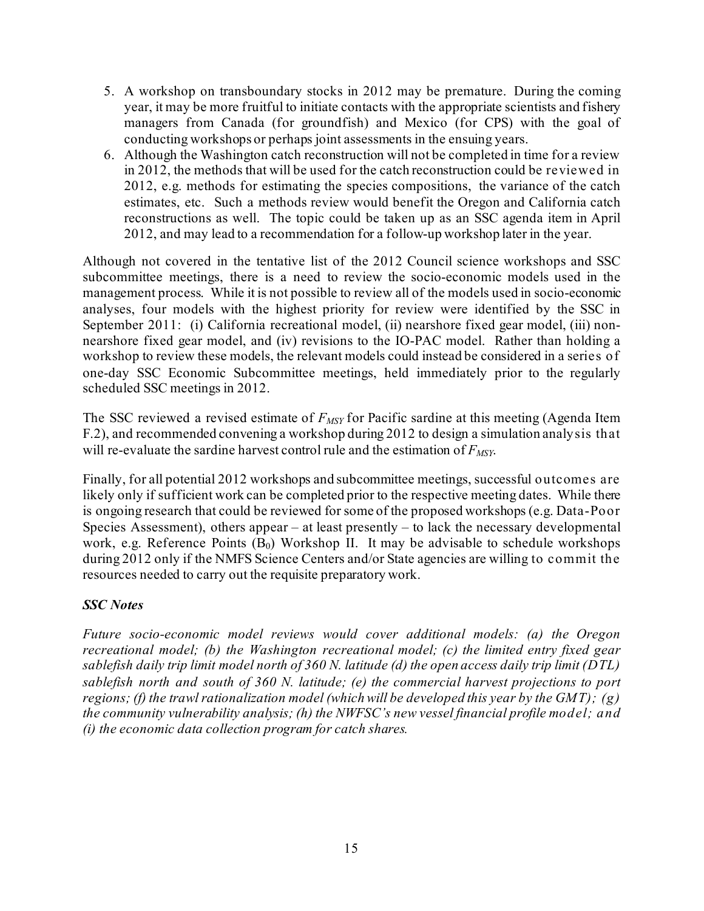- 5. A workshop on transboundary stocks in 2012 may be premature. During the coming year, it may be more fruitful to initiate contacts with the appropriate scientists and fishery managers from Canada (for groundfish) and Mexico (for CPS) with the goal of conducting workshops or perhaps joint assessments in the ensuing years.
- 6. Although the Washington catch reconstruction will not be completed in time for a review in 2012, the methods that will be used for the catch reconstruction could be reviewed in 2012, e.g. methods for estimating the species compositions, the variance of the catch estimates, etc. Such a methods review would benefit the Oregon and California catch reconstructions as well. The topic could be taken up as an SSC agenda item in April 2012, and may lead to a recommendation for a follow-up workshop later in the year.

Although not covered in the tentative list of the 2012 Council science workshops and SSC subcommittee meetings, there is a need to review the socio-economic models used in the management process. While it is not possible to review all of the models used in socio-economic analyses, four models with the highest priority for review were identified by the SSC in September 2011: (i) California recreational model, (ii) nearshore fixed gear model, (iii) nonnearshore fixed gear model, and (iv) revisions to the IO-PAC model. Rather than holding a workshop to review these models, the relevant models could instead be considered in a series of one-day SSC Economic Subcommittee meetings, held immediately prior to the regularly scheduled SSC meetings in 2012.

The SSC reviewed a revised estimate of  $F_{MSY}$  for Pacific sardine at this meeting (Agenda Item F.2), and recommended convening a workshop during 2012 to design a simulation analysis that will re-evaluate the sardine harvest control rule and the estimation of  $F_{MSY}$ .

Finally, for all potential 2012 workshops and subcommittee meetings, successful outcomes are likely only if sufficient work can be completed prior to the respective meeting dates. While there is ongoing research that could be reviewed for some of the proposed workshops (e.g. Data-Poor Species Assessment), others appear – at least presently – to lack the necessary developmental work, e.g. Reference Points  $(B_0)$  Workshop II. It may be advisable to schedule workshops during 2012 only if the NMFS Science Centers and/or State agencies are willing to commit the resources needed to carry out the requisite preparatory work.

# *SSC Notes*

*Future socio-economic model reviews would cover additional models: (a) the Oregon recreational model; (b) the Washington recreational model; (c) the limited entry fixed gear sablefish daily trip limit model north of 360 N. latitude (d) the open access daily trip limit (DTL) sablefish north and south of 360 N. latitude; (e) the commercial harvest projections to port regions; (f) the trawl rationalization model (which will be developed this year by the GMT); (g) the community vulnerability analysis; (h) the NWFSC's new vessel financial profile model; and (i) the economic data collection program for catch shares.*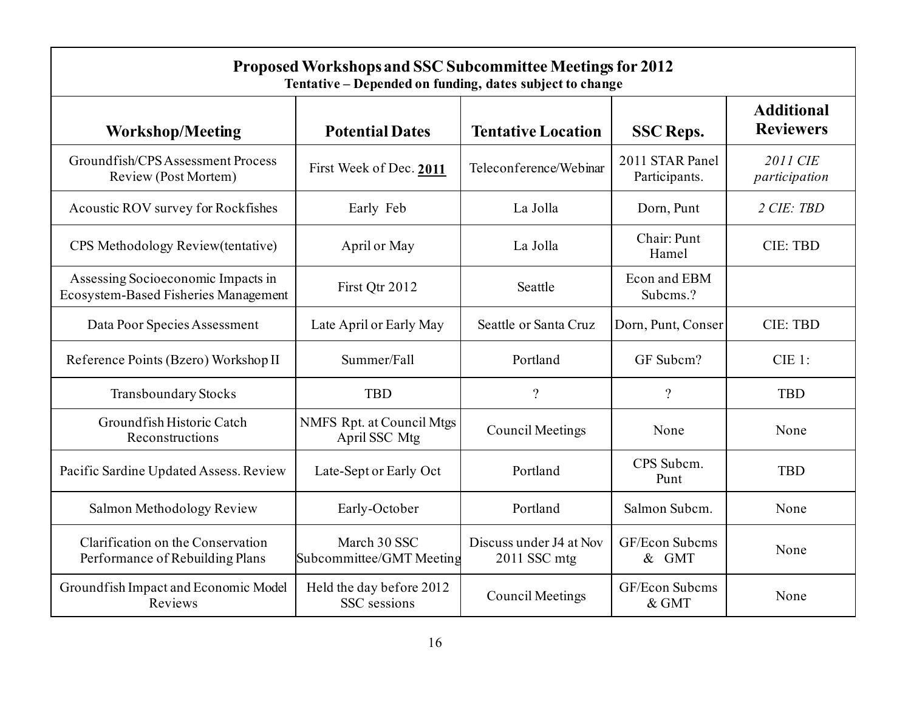| <b>Proposed Workshops and SSC Subcommittee Meetings for 2012</b><br>Tentative - Depended on funding, dates subject to change |                                                     |                                         |                                  |                                       |  |  |  |
|------------------------------------------------------------------------------------------------------------------------------|-----------------------------------------------------|-----------------------------------------|----------------------------------|---------------------------------------|--|--|--|
| <b>Workshop/Meeting</b>                                                                                                      | <b>Potential Dates</b><br><b>Tentative Location</b> |                                         | <b>SSC Reps.</b>                 | <b>Additional</b><br><b>Reviewers</b> |  |  |  |
| Groundfish/CPS Assessment Process<br>Review (Post Mortem)                                                                    | First Week of Dec. 2011                             | Teleconference/Webinar                  | 2011 STAR Panel<br>Participants. | <b>2011 CIE</b><br>participation      |  |  |  |
| Acoustic ROV survey for Rockfishes                                                                                           | Early Feb                                           | La Jolla                                | Dorn, Punt                       | 2 CIE: TBD                            |  |  |  |
| CPS Methodology Review (tentative)                                                                                           | April or May                                        | La Jolla                                | Chair: Punt<br>Hamel             | <b>CIE: TBD</b>                       |  |  |  |
| Assessing Socioeconomic Impacts in<br><b>Ecosystem-Based Fisheries Management</b>                                            | First Qtr 2012                                      | Seattle                                 | Econ and EBM<br>Subcms.?         |                                       |  |  |  |
| Data Poor Species Assessment                                                                                                 | Late April or Early May                             | Seattle or Santa Cruz                   | Dorn, Punt, Conser               | <b>CIE: TBD</b>                       |  |  |  |
| Reference Points (Bzero) Workshop II                                                                                         | Summer/Fall                                         | Portland                                | GF Subcm?                        | $CIE$ 1:                              |  |  |  |
| <b>Transboundary Stocks</b>                                                                                                  | <b>TBD</b>                                          | $\overline{?}$                          | $\overline{?}$                   | <b>TBD</b>                            |  |  |  |
| Groundfish Historic Catch<br>Reconstructions                                                                                 | NMFS Rpt. at Council Mtgs<br>April SSC Mtg          | <b>Council Meetings</b>                 | None                             | None                                  |  |  |  |
| Pacific Sardine Updated Assess. Review                                                                                       | Late-Sept or Early Oct                              | Portland                                | CPS Subcm.<br>Punt               | <b>TBD</b>                            |  |  |  |
| Salmon Methodology Review                                                                                                    | Early-October                                       | Portland                                | Salmon Subcm.                    | None                                  |  |  |  |
| Clarification on the Conservation<br>Performance of Rebuilding Plans                                                         | March 30 SSC<br>Subcommittee/GMT Meeting            | Discuss under J4 at Nov<br>2011 SSC mtg | GF/Econ Subcms<br>& GMT          | None                                  |  |  |  |
| Groundfish Impact and Economic Model<br>Reviews                                                                              | Held the day before 2012<br>SSC sessions            | <b>Council Meetings</b>                 | GF/Econ Subcms<br>& GMT          | None                                  |  |  |  |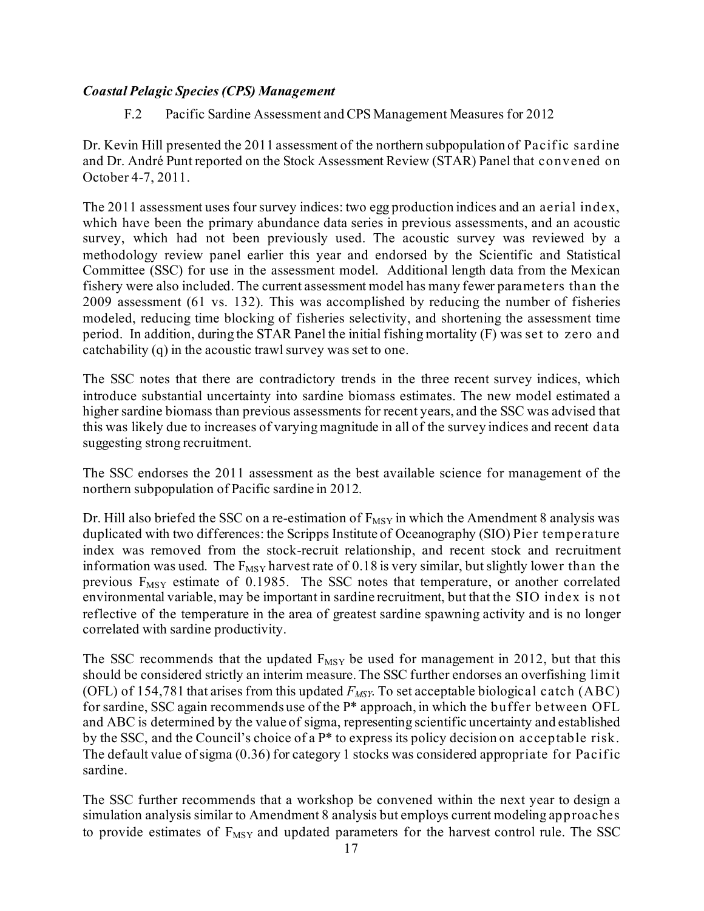# *Coastal Pelagic Species (CPS) Management*

F.2 Pacific Sardine Assessment and CPS Management Measures for 2012

Dr. Kevin Hill presented the 2011 assessment of the northern subpopulation of Pacific sardine and Dr. André Punt reported on the Stock Assessment Review (STAR) Panel that convened on October 4-7, 2011.

The 2011 assessment uses four survey indices: two egg production indices and an aerial index, which have been the primary abundance data series in previous assessments, and an acoustic survey, which had not been previously used. The acoustic survey was reviewed by a methodology review panel earlier this year and endorsed by the Scientific and Statistical Committee (SSC) for use in the assessment model. Additional length data from the Mexican fishery were also included. The current assessment model has many fewer parameters than the 2009 assessment (61 vs. 132). This was accomplished by reducing the number of fisheries modeled, reducing time blocking of fisheries selectivity, and shortening the assessment time period. In addition, during the STAR Panel the initial fishing mortality (F) was set to zero and catchability (q) in the acoustic trawl survey was set to one.

The SSC notes that there are contradictory trends in the three recent survey indices, which introduce substantial uncertainty into sardine biomass estimates. The new model estimated a higher sardine biomass than previous assessments for recent years, and the SSC was advised that this was likely due to increases of varying magnitude in all of the survey indices and recent data suggesting strong recruitment.

The SSC endorses the 2011 assessment as the best available science for management of the northern subpopulation of Pacific sardine in 2012.

Dr. Hill also briefed the SSC on a re-estimation of  $F_{MSY}$  in which the Amendment 8 analysis was duplicated with two differences: the Scripps Institute of Oceanography (SIO) Pier temperature index was removed from the stock-recruit relationship, and recent stock and recruitment information was used. The  $F_{MSY}$  harvest rate of 0.18 is very similar, but slightly lower than the previous  $F_{MSY}$  estimate of 0.1985. The SSC notes that temperature, or another correlated environmental variable, may be important in sardine recruitment, but that the SIO index is not reflective of the temperature in the area of greatest sardine spawning activity and is no longer correlated with sardine productivity.

The SSC recommends that the updated  $F_{MSY}$  be used for management in 2012, but that this should be considered strictly an interim measure. The SSC further endorses an overfishing limit (OFL) of 154,781 that arises from this updated  $F_{MSY}$ . To set acceptable biological catch (ABC) for sardine, SSC again recommends use of the P\* approach, in which the buffer between OFL and ABC is determined by the value of sigma, representing scientific uncertainty and established by the SSC, and the Council's choice of a P\* to express its policy decision on acceptable risk. The default value of sigma (0.36) for category 1 stocks was considered appropriate for Pacific sardine.

The SSC further recommends that a workshop be convened within the next year to design a simulation analysis similar to Amendment 8 analysis but employs current modeling approaches to provide estimates of  $F_{MSY}$  and updated parameters for the harvest control rule. The SSC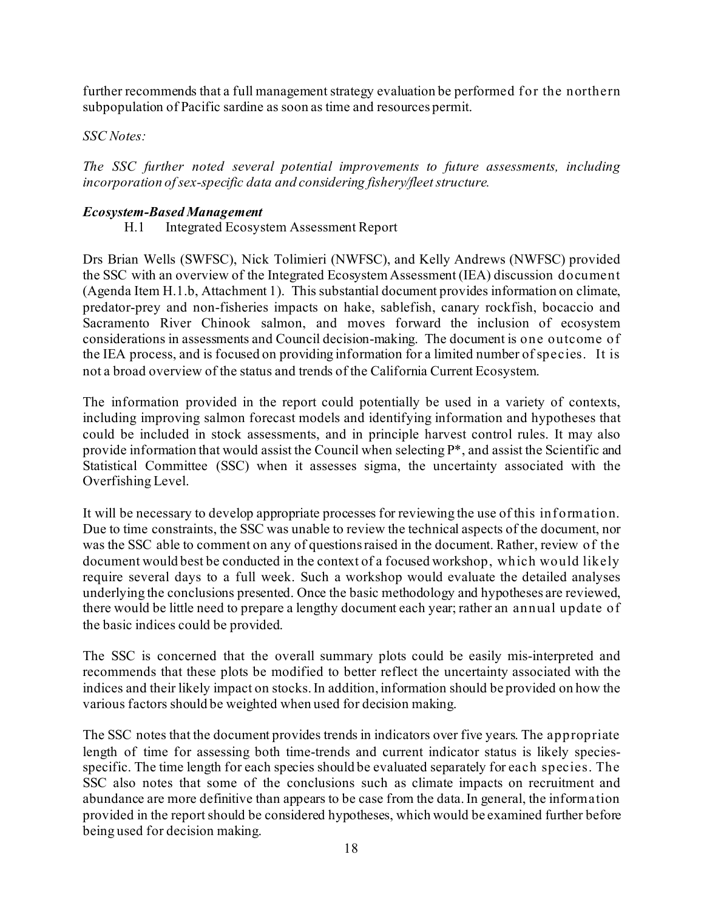further recommends that a full management strategy evaluation be performed for the northern subpopulation of Pacific sardine as soon as time and resources permit.

*SSC Notes:*

*The SSC further noted several potential improvements to future assessments, including incorporation of sex-specific data and considering fishery/fleet structure.* 

# *Ecosystem-Based Management*

H.1 Integrated Ecosystem Assessment Report

Drs Brian Wells (SWFSC), Nick Tolimieri (NWFSC), and Kelly Andrews (NWFSC) provided the SSC with an overview of the Integrated Ecosystem Assessment (IEA) discussion document (Agenda Item H.1.b, Attachment 1). This substantial document provides information on climate, predator-prey and non-fisheries impacts on hake, sablefish, canary rockfish, bocaccio and Sacramento River Chinook salmon, and moves forward the inclusion of ecosystem considerations in assessments and Council decision-making. The document is one outcome of the IEA process, and is focused on providing information for a limited number of species. It is not a broad overview of the status and trends of the California Current Ecosystem.

The information provided in the report could potentially be used in a variety of contexts, including improving salmon forecast models and identifying information and hypotheses that could be included in stock assessments, and in principle harvest control rules. It may also provide information that would assist the Council when selecting P\*, and assist the Scientific and Statistical Committee (SSC) when it assesses sigma, the uncertainty associated with the Overfishing Level.

It will be necessary to develop appropriate processes for reviewing the use of this inf ormation. Due to time constraints, the SSC was unable to review the technical aspects of the document, nor was the SSC able to comment on any of questions raised in the document. Rather, review of the document would best be conducted in the context of a focused workshop, which would likely require several days to a full week. Such a workshop would evaluate the detailed analyses underlying the conclusions presented. Once the basic methodology and hypotheses are reviewed, there would be little need to prepare a lengthy document each year; rather an annual update of the basic indices could be provided.

The SSC is concerned that the overall summary plots could be easily mis-interpreted and recommends that these plots be modified to better reflect the uncertainty associated with the indices and their likely impact on stocks. In addition, information should be provided on how the various factors should be weighted when used for decision making.

The SSC notes that the document provides trends in indicators over five years. The appropriate length of time for assessing both time-trends and current indicator status is likely speciesspecific. The time length for each species should be evaluated separately for each species. The SSC also notes that some of the conclusions such as climate impacts on recruitment and abundance are more definitive than appears to be case from the data. In general, the information provided in the report should be considered hypotheses, which would be examined further before being used for decision making.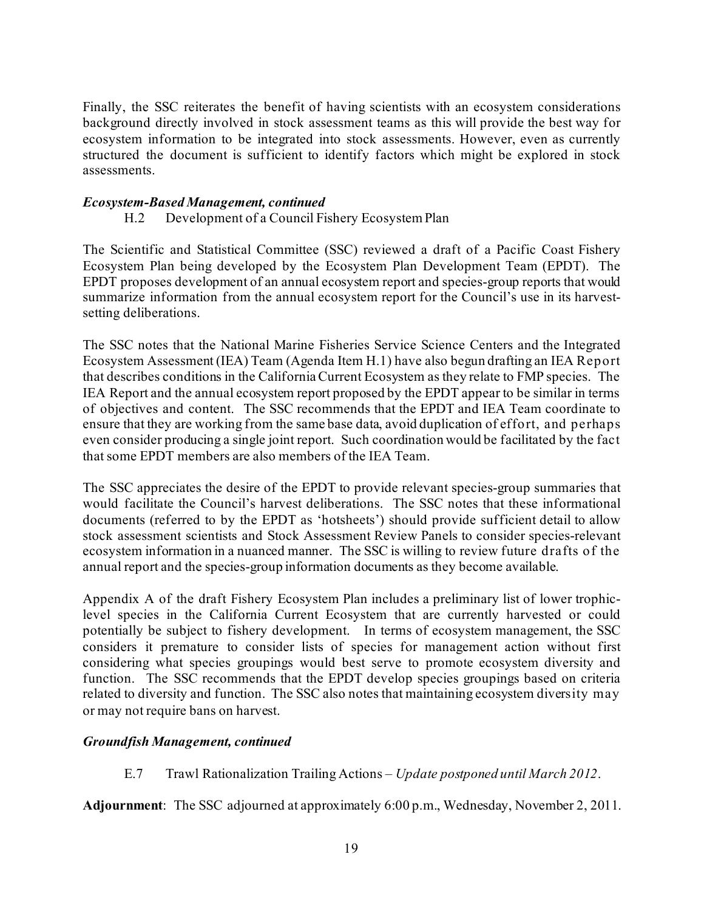Finally, the SSC reiterates the benefit of having scientists with an ecosystem considerations background directly involved in stock assessment teams as this will provide the best way for ecosystem information to be integrated into stock assessments. However, even as currently structured the document is sufficient to identify factors which might be explored in stock assessments.

#### *Ecosystem-Based Management, continued*

H.2 Development of a Council Fishery Ecosystem Plan

The Scientific and Statistical Committee (SSC) reviewed a draft of a Pacific Coast Fishery Ecosystem Plan being developed by the Ecosystem Plan Development Team (EPDT). The EPDT proposes development of an annual ecosystem report and species-group reports that would summarize information from the annual ecosystem report for the Council's use in its harvestsetting deliberations.

The SSC notes that the National Marine Fisheries Service Science Centers and the Integrated Ecosystem Assessment (IEA) Team (Agenda Item H.1) have also begun drafting an IEA Report that describes conditions in the California Current Ecosystem as they relate to FMP species. The IEA Report and the annual ecosystem report proposed by the EPDT appear to be similar in terms of objectives and content. The SSC recommends that the EPDT and IEA Team coordinate to ensure that they are working from the same base data, avoid duplication of effort, and perhaps even consider producing a single joint report. Such coordination would be facilitated by the fact that some EPDT members are also members of the IEA Team.

The SSC appreciates the desire of the EPDT to provide relevant species-group summaries that would facilitate the Council's harvest deliberations. The SSC notes that these informational documents (referred to by the EPDT as 'hotsheets') should provide sufficient detail to allow stock assessment scientists and Stock Assessment Review Panels to consider species-relevant ecosystem information in a nuanced manner. The SSC is willing to review future drafts of the annual report and the species-group information documents as they become available.

Appendix A of the draft Fishery Ecosystem Plan includes a preliminary list of lower trophiclevel species in the California Current Ecosystem that are currently harvested or could potentially be subject to fishery development. In terms of ecosystem management, the SSC considers it premature to consider lists of species for management action without first considering what species groupings would best serve to promote ecosystem diversity and function. The SSC recommends that the EPDT develop species groupings based on criteria related to diversity and function. The SSC also notes that maintaining ecosystem diversity may or may not require bans on harvest.

# *Groundfish Management, continued*

E.7 Trawl Rationalization Trailing Actions – *Update postponed until March 2012*.

**Adjournment**: The SSC adjourned at approximately 6:00 p.m., Wednesday, November 2, 2011.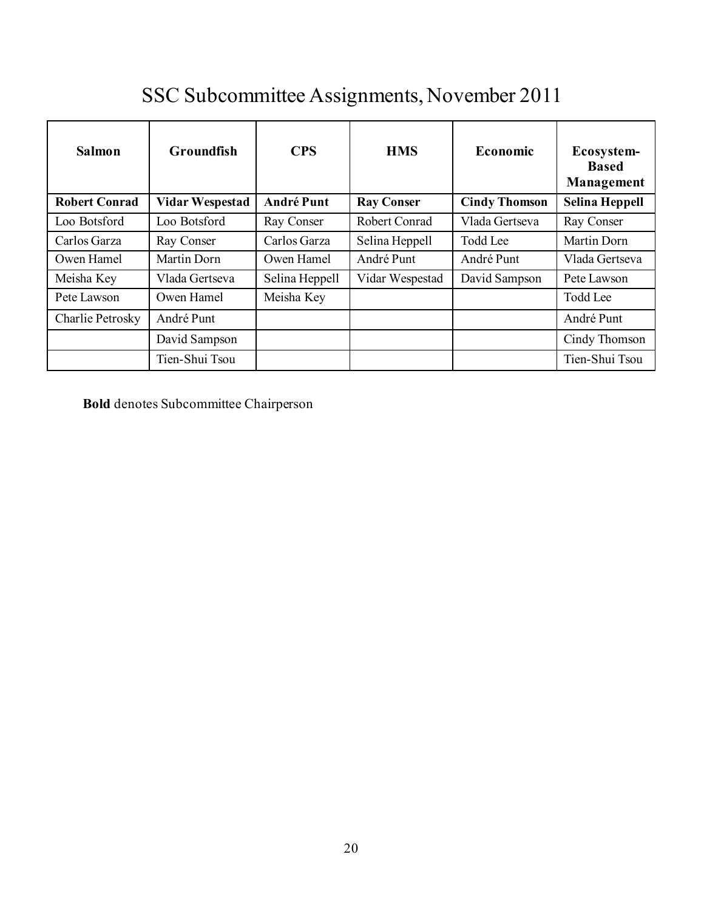# SSC Subcommittee Assignments, November 2011

| <b>Salmon</b>        | <b>Groundfish</b>      | <b>CPS</b>        | <b>HMS</b>        | <b>Economic</b>      | Ecosystem-<br><b>Based</b><br>Management |
|----------------------|------------------------|-------------------|-------------------|----------------------|------------------------------------------|
| <b>Robert Conrad</b> | <b>Vidar Wespestad</b> | <b>André Punt</b> | <b>Ray Conser</b> | <b>Cindy Thomson</b> | <b>Selina Heppell</b>                    |
| Loo Botsford         | Loo Botsford           | Ray Conser        | Robert Conrad     | Vlada Gertseva       | Ray Conser                               |
| Carlos Garza         | Ray Conser             | Carlos Garza      | Selina Heppell    | Todd Lee             | Martin Dorn                              |
| Owen Hamel           | Martin Dorn            | Owen Hamel        | André Punt        | André Punt           | Vlada Gertseva                           |
| Meisha Key           | Vlada Gertseva         | Selina Heppell    | Vidar Wespestad   | David Sampson        | Pete Lawson                              |
| Pete Lawson          | Owen Hamel             | Meisha Key        |                   |                      | Todd Lee                                 |
| Charlie Petrosky     | André Punt             |                   |                   |                      | André Punt                               |
|                      | David Sampson          |                   |                   |                      | Cindy Thomson                            |
|                      | Tien-Shui Tsou         |                   |                   |                      | Tien-Shui Tsou                           |

**Bold** denotes Subcommittee Chairperson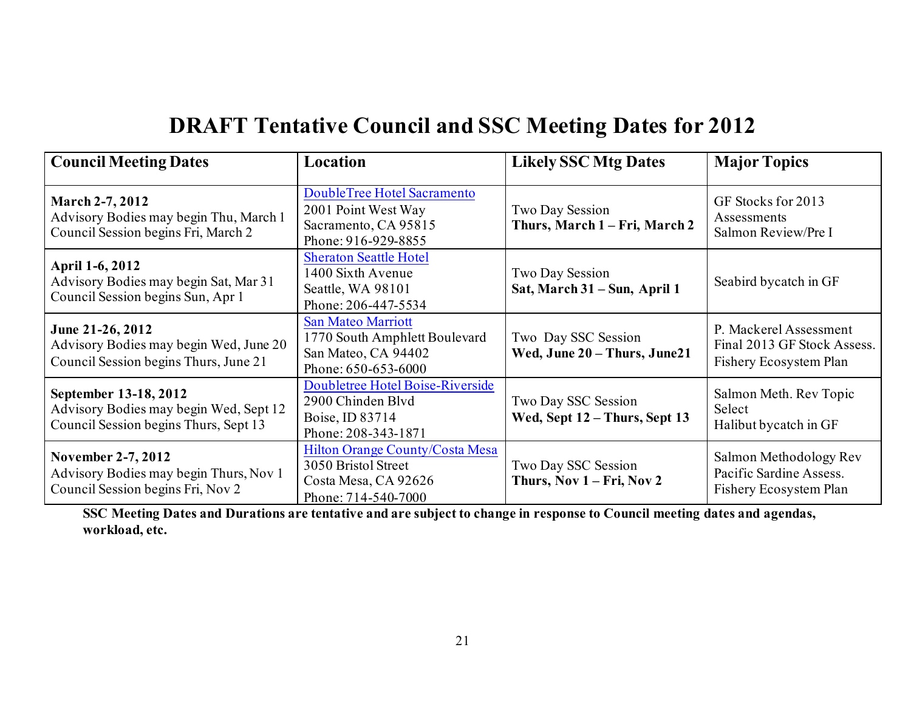# **DRAFT Tentative Council and SSC Meeting Dates for 2012**

| <b>Council Meeting Dates</b>                                                                             | Location                                                                                                 | <b>Likely SSC Mtg Dates</b>                           | <b>Major Topics</b>                                                             |
|----------------------------------------------------------------------------------------------------------|----------------------------------------------------------------------------------------------------------|-------------------------------------------------------|---------------------------------------------------------------------------------|
| <b>March 2-7, 2012</b><br>Advisory Bodies may begin Thu, March 1<br>Council Session begins Fri, March 2  | DoubleTree Hotel Sacramento<br>2001 Point West Way<br>Sacramento, CA 95815<br>Phone: 916-929-8855        | Two Day Session<br>Thurs, March 1 – Fri, March 2      | GF Stocks for 2013<br>Assessments<br>Salmon Review/Pre I                        |
| April 1-6, 2012<br>Advisory Bodies may begin Sat, Mar 31<br>Council Session begins Sun, Apr 1            | <b>Sheraton Seattle Hotel</b><br>1400 Sixth Avenue<br>Seattle, WA 98101<br>Phone: 206-447-5534           | Two Day Session<br>Sat, March 31 – Sun, April 1       | Seabird bycatch in GF                                                           |
| June 21-26, 2012<br>Advisory Bodies may begin Wed, June 20<br>Council Session begins Thurs, June 21      | <b>San Mateo Marriott</b><br>1770 South Amphlett Boulevard<br>San Mateo, CA 94402<br>Phone: 650-653-6000 | Two Day SSC Session<br>Wed, June 20 - Thurs, June 21  | P. Mackerel Assessment<br>Final 2013 GF Stock Assess.<br>Fishery Ecosystem Plan |
| September 13-18, 2012<br>Advisory Bodies may begin Wed, Sept 12<br>Council Session begins Thurs, Sept 13 | Doubletree Hotel Boise-Riverside<br>2900 Chinden Blvd<br>Boise, ID 83714<br>Phone: 208-343-1871          | Two Day SSC Session<br>Wed, Sept 12 – Thurs, Sept 13  | Salmon Meth. Rev Topic<br>Select<br>Halibut bycatch in GF                       |
| <b>November 2-7, 2012</b><br>Advisory Bodies may begin Thurs, Nov 1<br>Council Session begins Fri, Nov 2 | Hilton Orange County/Costa Mesa<br>3050 Bristol Street<br>Costa Mesa, CA 92626<br>Phone: 714-540-7000    | Two Day SSC Session<br>Thurs, $Nov 1 - Fri$ , $Nov 2$ | Salmon Methodology Rev<br>Pacific Sardine Assess.<br>Fishery Ecosystem Plan     |

**SSC Meeting Dates and Durations are tentative and are subject to change in response to Council meeting dates and agendas, workload, etc.**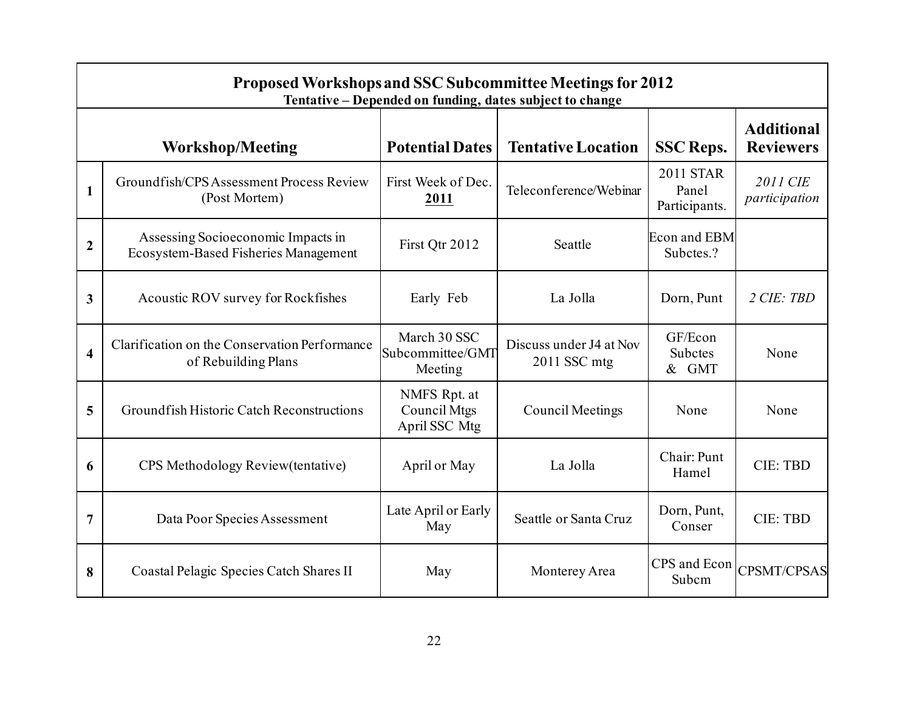|                         | <b>Proposed Workshops and SSC Subcommittee Meetings for 2012</b><br>Tentative - Depended on funding, dates subject to change |                                               |                                         |                                            |                                       |  |  |  |  |
|-------------------------|------------------------------------------------------------------------------------------------------------------------------|-----------------------------------------------|-----------------------------------------|--------------------------------------------|---------------------------------------|--|--|--|--|
|                         | <b>Workshop/Meeting</b>                                                                                                      | <b>Potential Dates</b>                        | <b>Tentative Location</b>               | <b>SSC Reps.</b>                           | <b>Additional</b><br><b>Reviewers</b> |  |  |  |  |
| 1                       | Groundfish/CPS Assessment Process Review<br>(Post Mortem)                                                                    | First Week of Dec.<br>2011                    | Teleconference/Webinar                  | <b>2011 STAR</b><br>Panel<br>Participants. | <b>2011 CIE</b><br>participation      |  |  |  |  |
| $\overline{2}$          | Assessing Socioeconomic Impacts in<br><b>Ecosystem-Based Fisheries Management</b>                                            | First Qtr 2012                                | Seattle                                 | Econ and EBM<br>Subctes.?                  |                                       |  |  |  |  |
| 3                       | Acoustic ROV survey for Rockfishes                                                                                           | Early Feb                                     | La Jolla                                | Dorn, Punt                                 | 2 CIE: TBD                            |  |  |  |  |
| $\overline{\mathbf{4}}$ | Clarification on the Conservation Performance<br>of Rebuilding Plans                                                         | March 30 SSC<br>Subcommittee/GMT<br>Meeting   | Discuss under J4 at Nov<br>2011 SSC mtg | GF/Econ<br>Subctes<br>& GMT                | None                                  |  |  |  |  |
| 5                       | Groundfish Historic Catch Reconstructions                                                                                    | NMFS Rpt. at<br>Council Mtgs<br>April SSC Mtg | Council Meetings                        | None                                       | None                                  |  |  |  |  |
| 6                       | <b>CPS</b> Methodology Review (tentative)                                                                                    | April or May                                  | La Jolla                                | Chair: Punt<br>Hamel                       | <b>CIE: TBD</b>                       |  |  |  |  |
| $\overline{7}$          | Data Poor Species Assessment                                                                                                 | Late April or Early<br>May                    | Seattle or Santa Cruz                   | Dorn, Punt,<br>Conser                      | <b>CIE: TBD</b>                       |  |  |  |  |
| 8                       | Coastal Pelagic Species Catch Shares II                                                                                      | May                                           | Monterey Area                           | CPS and Econ<br>Subcm                      | <b>CPSMT/CPSAS</b>                    |  |  |  |  |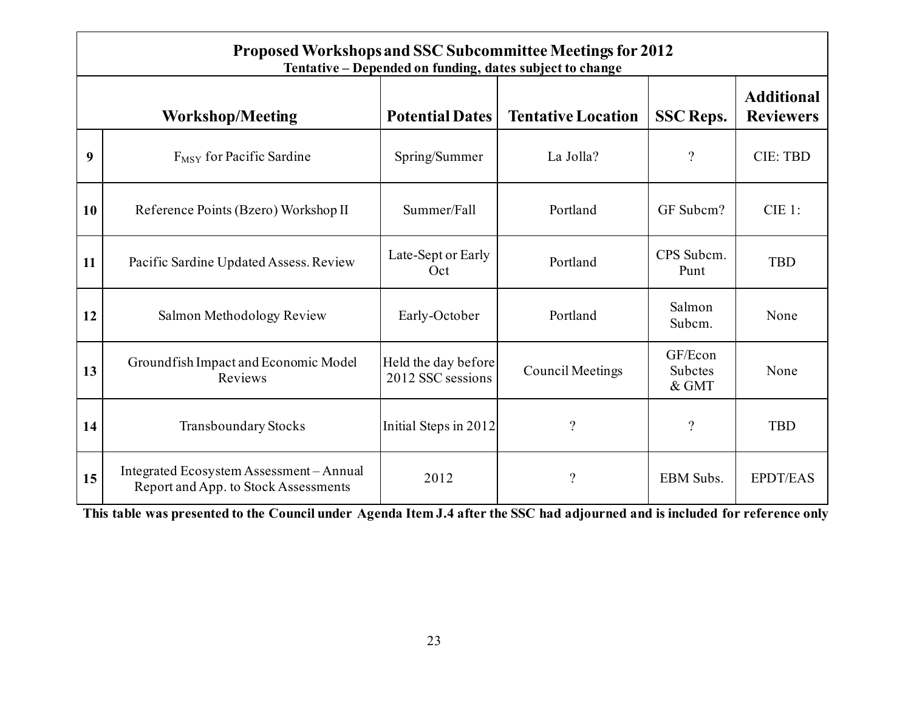|    | <b>Proposed Workshops and SSC Subcommittee Meetings for 2012</b><br>Tentative - Depended on funding, dates subject to change |                                          |                           |                                    |                                       |  |  |  |  |
|----|------------------------------------------------------------------------------------------------------------------------------|------------------------------------------|---------------------------|------------------------------------|---------------------------------------|--|--|--|--|
|    | <b>Workshop/Meeting</b>                                                                                                      | <b>Potential Dates</b>                   | <b>Tentative Location</b> | <b>SSC Reps.</b>                   | <b>Additional</b><br><b>Reviewers</b> |  |  |  |  |
| 9  | F <sub>MSY</sub> for Pacific Sardine                                                                                         | Spring/Summer                            | La Jolla?                 | $\overline{\mathcal{L}}$           | <b>CIE: TBD</b>                       |  |  |  |  |
| 10 | Reference Points (Bzero) Workshop II                                                                                         | Summer/Fall                              | Portland                  | GF Subcm?                          | $CIE$ 1:                              |  |  |  |  |
| 11 | Pacific Sardine Updated Assess. Review                                                                                       | Late-Sept or Early<br>Oct                | Portland                  | CPS Subcm.<br>Punt                 | <b>TBD</b>                            |  |  |  |  |
| 12 | Salmon Methodology Review                                                                                                    | Early-October                            | Portland                  | Salmon<br>Subcm.                   | None                                  |  |  |  |  |
| 13 | Groundfish Impact and Economic Model<br>Reviews                                                                              | Held the day before<br>2012 SSC sessions | <b>Council Meetings</b>   | GF/Econ<br><b>Subctes</b><br>& GMT | None                                  |  |  |  |  |
| 14 | Transboundary Stocks                                                                                                         | Initial Steps in 2012                    | $\overline{\cdot}$        | $\overline{\cdot}$                 | <b>TBD</b>                            |  |  |  |  |
| 15 | Integrated Ecosystem Assessment-Annual<br>Report and App. to Stock Assessments                                               | 2012                                     | $\overline{\mathcal{L}}$  | EBM Subs.                          | <b>EPDT/EAS</b>                       |  |  |  |  |

**This table was presented to the Council under Agenda Item J.4 after the SSC had adjourned and is included for reference only**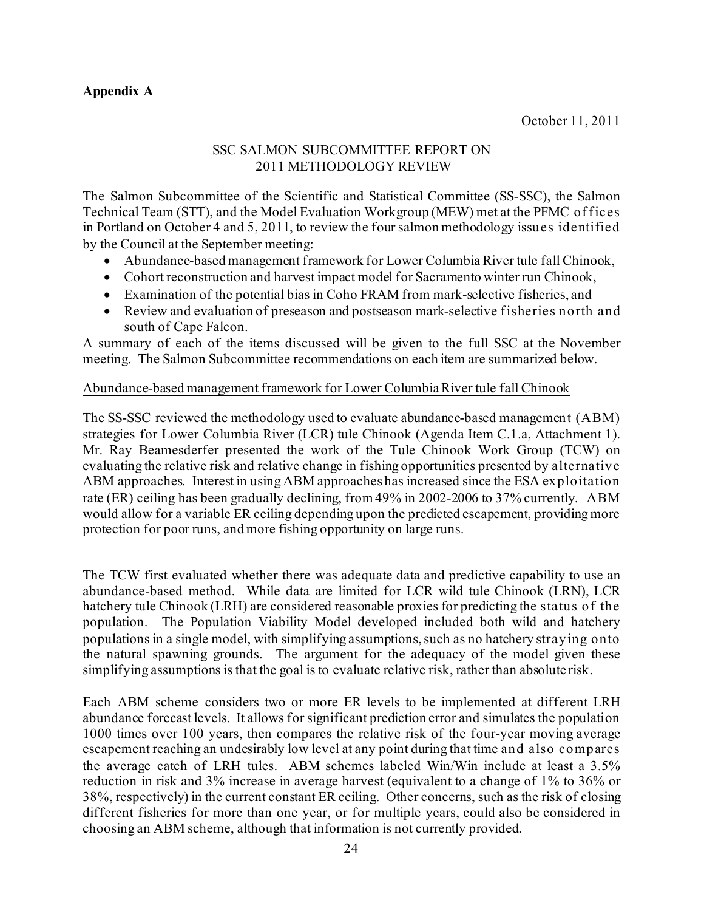#### **Appendix A**

#### SSC SALMON SUBCOMMITTEE REPORT ON 2011 METHODOLOGY REVIEW

The Salmon Subcommittee of the Scientific and Statistical Committee (SS-SSC), the Salmon Technical Team (STT), and the Model Evaluation Workgroup (MEW) met at the PFMC of fices in Portland on October 4 and 5, 2011, to review the four salmon methodology issues identified by the Council at the September meeting:

- Abundance-based management framework for Lower Columbia River tule fall Chinook,
- Cohort reconstruction and harvest impact model for Sacramento winter run Chinook,
- Examination of the potential bias in Coho FRAM from mark-selective fisheries, and
- Review and evaluation of preseason and postseason mark-selective fisheries north and south of Cape Falcon.

A summary of each of the items discussed will be given to the full SSC at the November meeting. The Salmon Subcommittee recommendations on each item are summarized below.

#### Abundance-based management framework for Lower Columbia River tule fall Chinook

The SS-SSC reviewed the methodology used to evaluate abundance-based management (ABM) strategies for Lower Columbia River (LCR) tule Chinook (Agenda Item C.1.a, Attachment 1). Mr. Ray Beamesderfer presented the work of the Tule Chinook Work Group (TCW) on evaluating the relative risk and relative change in fishing opportunities presented by alternative ABM approaches. Interest in using ABM approaches has increased since the ESA exploitation rate (ER) ceiling has been gradually declining, from 49% in 2002-2006 to 37% currently. ABM would allow for a variable ER ceiling depending upon the predicted escapement, providing more protection for poor runs, and more fishing opportunity on large runs.

The TCW first evaluated whether there was adequate data and predictive capability to use an abundance-based method. While data are limited for LCR wild tule Chinook (LRN), LCR hatchery tule Chinook (LRH) are considered reasonable proxies for predicting the status of the population. The Population Viability Model developed included both wild and hatchery populations in a single model, with simplifying assumptions, such as no hatchery straying onto the natural spawning grounds. The argument for the adequacy of the model given these simplifying assumptions is that the goal is to evaluate relative risk, rather than absolute risk.

Each ABM scheme considers two or more ER levels to be implemented at different LRH abundance forecast levels. It allows for significant prediction error and simulates the population 1000 times over 100 years, then compares the relative risk of the four-year moving average escapement reaching an undesirably low level at any point during that time and also compares the average catch of LRH tules. ABM schemes labeled Win/Win include at least a 3.5% reduction in risk and 3% increase in average harvest (equivalent to a change of 1% to 36% or 38%, respectively) in the current constant ER ceiling. Other concerns, such as the risk of closing different fisheries for more than one year, or for multiple years, could also be considered in choosing an ABM scheme, although that information is not currently provided.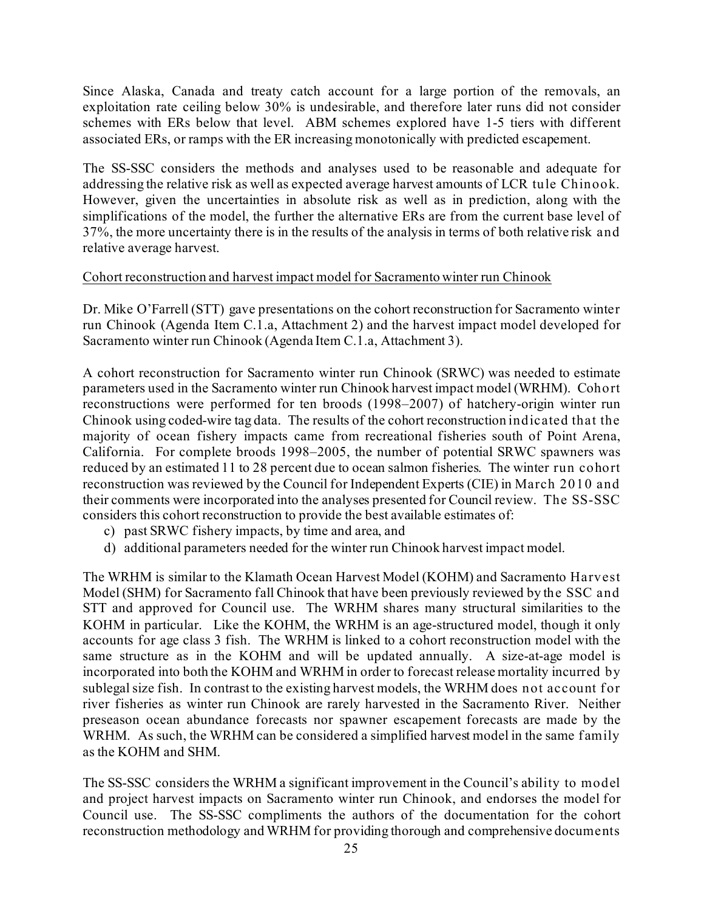Since Alaska, Canada and treaty catch account for a large portion of the removals, an exploitation rate ceiling below 30% is undesirable, and therefore later runs did not consider schemes with ERs below that level. ABM schemes explored have 1-5 tiers with different associated ERs, or ramps with the ER increasing monotonically with predicted escapement.

The SS-SSC considers the methods and analyses used to be reasonable and adequate for addressing the relative risk as well as expected average harvest amounts of LCR tule Chinook. However, given the uncertainties in absolute risk as well as in prediction, along with the simplifications of the model, the further the alternative ERs are from the current base level of 37%, the more uncertainty there is in the results of the analysis in terms of both relative risk and relative average harvest.

#### Cohort reconstruction and harvest impact model for Sacramento winter run Chinook

Dr. Mike O'Farrell (STT) gave presentations on the cohort reconstruction for Sacramento winter run Chinook (Agenda Item C.1.a, Attachment 2) and the harvest impact model developed for Sacramento winter run Chinook (Agenda Item C.1.a, Attachment 3).

A cohort reconstruction for Sacramento winter run Chinook (SRWC) was needed to estimate parameters used in the Sacramento winter run Chinook harvest impact model (WRHM). Cohort reconstructions were performed for ten broods (1998–2007) of hatchery-origin winter run Chinook using coded-wire tag data. The results of the cohort reconstruction indicated that the majority of ocean fishery impacts came from recreational fisheries south of Point Arena, California. For complete broods 1998–2005, the number of potential SRWC spawners was reduced by an estimated 11 to 28 percent due to ocean salmon fisheries. The winter run cohort reconstruction was reviewed by the Council for Independent Experts (CIE) in March 2010 and their comments were incorporated into the analyses presented for Council review. The SS-SSC considers this cohort reconstruction to provide the best available estimates of:

- c) past SRWC fishery impacts, by time and area, and
- d) additional parameters needed for the winter run Chinook harvest impact model.

The WRHM is similar to the Klamath Ocean Harvest Model (KOHM) and Sacramento Harvest Model (SHM) for Sacramento fall Chinook that have been previously reviewed by the SSC and STT and approved for Council use. The WRHM shares many structural similarities to the KOHM in particular. Like the KOHM, the WRHM is an age-structured model, though it only accounts for age class 3 fish. The WRHM is linked to a cohort reconstruction model with the same structure as in the KOHM and will be updated annually. A size-at-age model is incorporated into both the KOHM and WRHM in order to forecast release mortality incurred by sublegal size fish. In contrast to the existing harvest models, the WRHM does not account for river fisheries as winter run Chinook are rarely harvested in the Sacramento River. Neither preseason ocean abundance forecasts nor spawner escapement forecasts are made by the WRHM. As such, the WRHM can be considered a simplified harvest model in the same family as the KOHM and SHM.

The SS-SSC considers the WRHM a significant improvement in the Council's ability to model and project harvest impacts on Sacramento winter run Chinook, and endorses the model for Council use. The SS-SSC compliments the authors of the documentation for the cohort reconstruction methodology and WRHM for providing thorough and comprehensive documents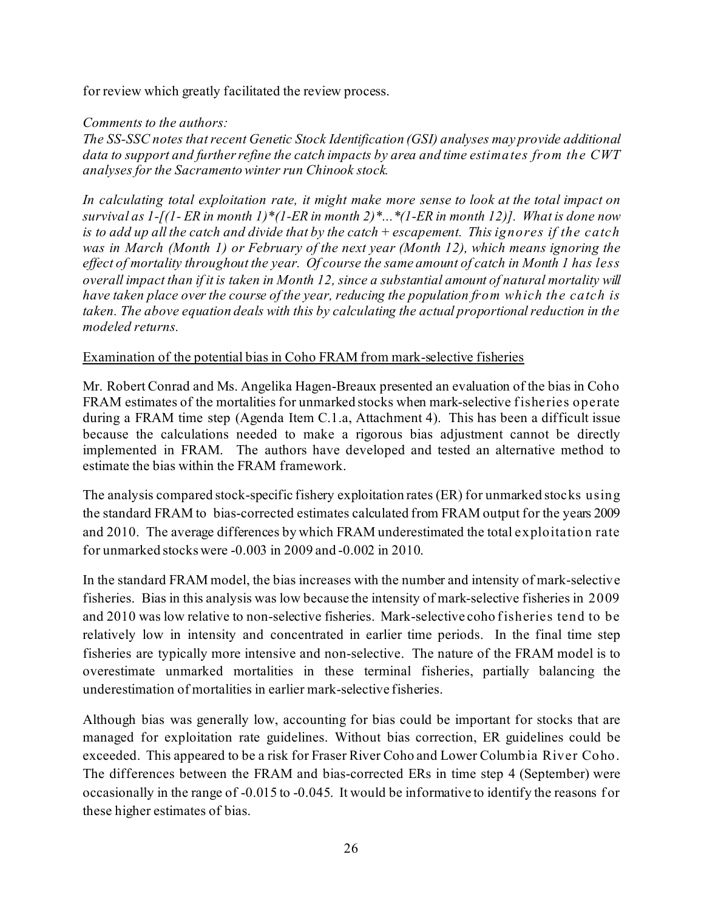for review which greatly facilitated the review process.

#### *Comments to the authors:*

*The SS-SSC notes that recent Genetic Stock Identification (GSI) analyses may provide additional data to support and further refine the catch impacts by area and time estimates from the CWT analyses for the Sacramento winter run Chinook stock.* 

*In calculating total exploitation rate, it might make more sense to look at the total impact on survival as 1-[(1- ER in month 1)\*(1-ER in month 2)\*...\*(1-ER in month 12)]. What is done now is to add up all the catch and divide that by the catch + escapement. This ignores if the catch was in March (Month 1) or February of the next year (Month 12), which means ignoring the effect of mortality throughout the year. Of course the same amount of catch in Month 1 has less overall impact than if it is taken in Month 12, since a substantial amount of natural mortality will have taken place over the course of the year, reducing the population from which the catch is taken. The above equation deals with this by calculating the actual proportional reduction in the modeled returns.*

#### Examination of the potential bias in Coho FRAM from mark-selective fisheries

Mr. Robert Conrad and Ms. Angelika Hagen-Breaux presented an evaluation of the bias in Coho FRAM estimates of the mortalities for unmarked stocks when mark-selective fisheries operate during a FRAM time step (Agenda Item C.1.a, Attachment 4). This has been a difficult issue because the calculations needed to make a rigorous bias adjustment cannot be directly implemented in FRAM. The authors have developed and tested an alternative method to estimate the bias within the FRAM framework.

The analysis compared stock-specific fishery exploitation rates (ER) for unmarked stocks using the standard FRAM to bias-corrected estimates calculated from FRAM output for the years 2009 and 2010. The average differences by which FRAM underestimated the total exploitation rate for unmarked stocks were -0.003 in 2009 and -0.002 in 2010.

In the standard FRAM model, the bias increases with the number and intensity of mark-selective fisheries. Bias in this analysis was low because the intensity of mark-selective fisheries in 2009 and 2010 was low relative to non-selective fisheries. Mark-selective coho fisheries tend to be relatively low in intensity and concentrated in earlier time periods. In the final time step fisheries are typically more intensive and non-selective. The nature of the FRAM model is to overestimate unmarked mortalities in these terminal fisheries, partially balancing the underestimation of mortalities in earlier mark-selective fisheries.

Although bias was generally low, accounting for bias could be important for stocks that are managed for exploitation rate guidelines. Without bias correction, ER guidelines could be exceeded. This appeared to be a risk for Fraser River Coho and Lower Columbia River Coho. The differences between the FRAM and bias-corrected ERs in time step 4 (September) were occasionally in the range of -0.015 to -0.045. It would be informative to identify the reasons f or these higher estimates of bias.